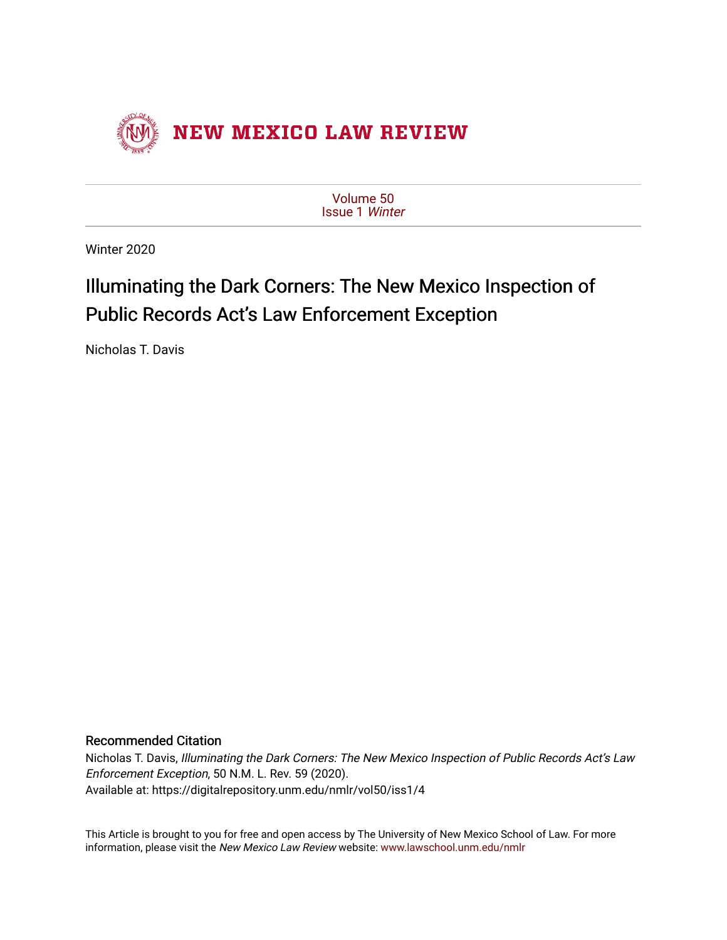

[Volume 50](https://digitalrepository.unm.edu/nmlr/vol50) [Issue 1](https://digitalrepository.unm.edu/nmlr/vol50/iss1) Winter

Winter 2020

# Illuminating the Dark Corners: The New Mexico Inspection of Public Records Act's Law Enforcement Exception

Nicholas T. Davis

# Recommended Citation

Nicholas T. Davis, Illuminating the Dark Corners: The New Mexico Inspection of Public Records Act's Law Enforcement Exception, 50 N.M. L. Rev. 59 (2020). Available at: https://digitalrepository.unm.edu/nmlr/vol50/iss1/4

This Article is brought to you for free and open access by The University of New Mexico School of Law. For more information, please visit the New Mexico Law Review website: [www.lawschool.unm.edu/nmlr](http://www.lawschool.unm.edu/nmlr)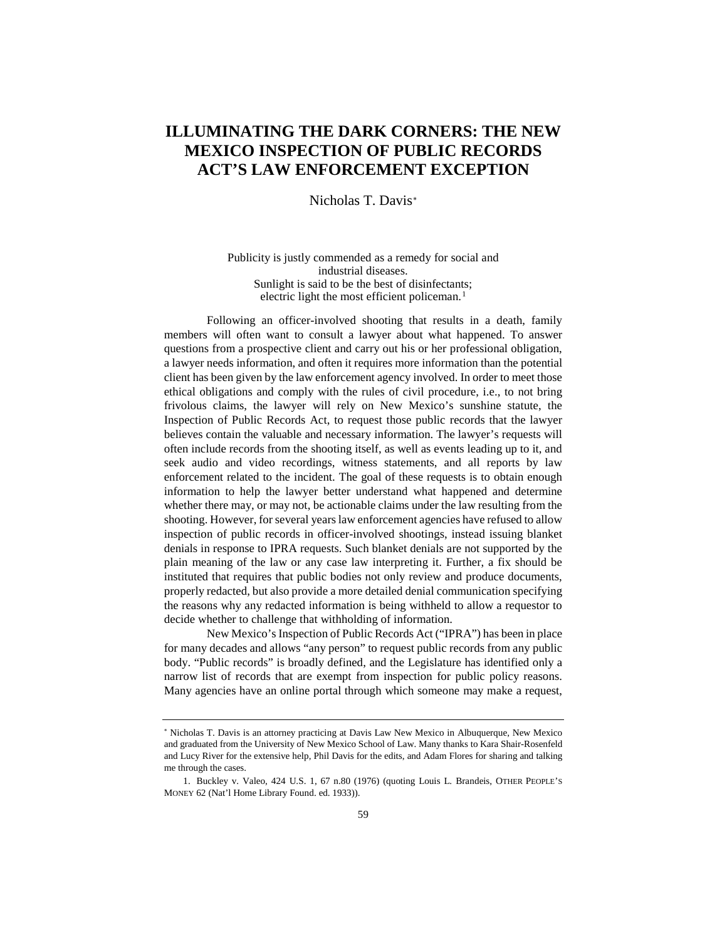# **ILLUMINATING THE DARK CORNERS: THE NEW MEXICO INSPECTION OF PUBLIC RECORDS ACT'S LAW ENFORCEMENT EXCEPTION**

Nicholas T. Davis[∗](#page-1-0)

Publicity is justly commended as a remedy for social and industrial diseases. Sunlight is said to be the best of disinfectants; electric light the most efficient policeman.<sup>[1](#page-1-1)</sup>

Following an officer-involved shooting that results in a death, family members will often want to consult a lawyer about what happened. To answer questions from a prospective client and carry out his or her professional obligation, a lawyer needs information, and often it requires more information than the potential client has been given by the law enforcement agency involved. In order to meet those ethical obligations and comply with the rules of civil procedure, i.e., to not bring frivolous claims, the lawyer will rely on New Mexico's sunshine statute, the Inspection of Public Records Act, to request those public records that the lawyer believes contain the valuable and necessary information. The lawyer's requests will often include records from the shooting itself, as well as events leading up to it, and seek audio and video recordings, witness statements, and all reports by law enforcement related to the incident. The goal of these requests is to obtain enough information to help the lawyer better understand what happened and determine whether there may, or may not, be actionable claims under the law resulting from the shooting. However, for several years law enforcement agencies have refused to allow inspection of public records in officer-involved shootings, instead issuing blanket denials in response to IPRA requests. Such blanket denials are not supported by the plain meaning of the law or any case law interpreting it. Further, a fix should be instituted that requires that public bodies not only review and produce documents, properly redacted, but also provide a more detailed denial communication specifying the reasons why any redacted information is being withheld to allow a requestor to decide whether to challenge that withholding of information.

New Mexico's Inspection of Public Records Act ("IPRA") has been in place for many decades and allows "any person" to request public records from any public body. "Public records" is broadly defined, and the Legislature has identified only a narrow list of records that are exempt from inspection for public policy reasons. Many agencies have an online portal through which someone may make a request,

<span id="page-1-0"></span><sup>∗</sup> Nicholas T. Davis is an attorney practicing at Davis Law New Mexico in Albuquerque, New Mexico and graduated from the University of New Mexico School of Law. Many thanks to Kara Shair-Rosenfeld and Lucy River for the extensive help, Phil Davis for the edits, and Adam Flores for sharing and talking me through the cases.

<span id="page-1-1"></span><sup>1.</sup> Buckley v. Valeo, 424 U.S. 1, 67 n.80 (1976) (quoting Louis L. Brandeis, OTHER PEOPLE'S MONEY 62 (Nat'l Home Library Found. ed. 1933)).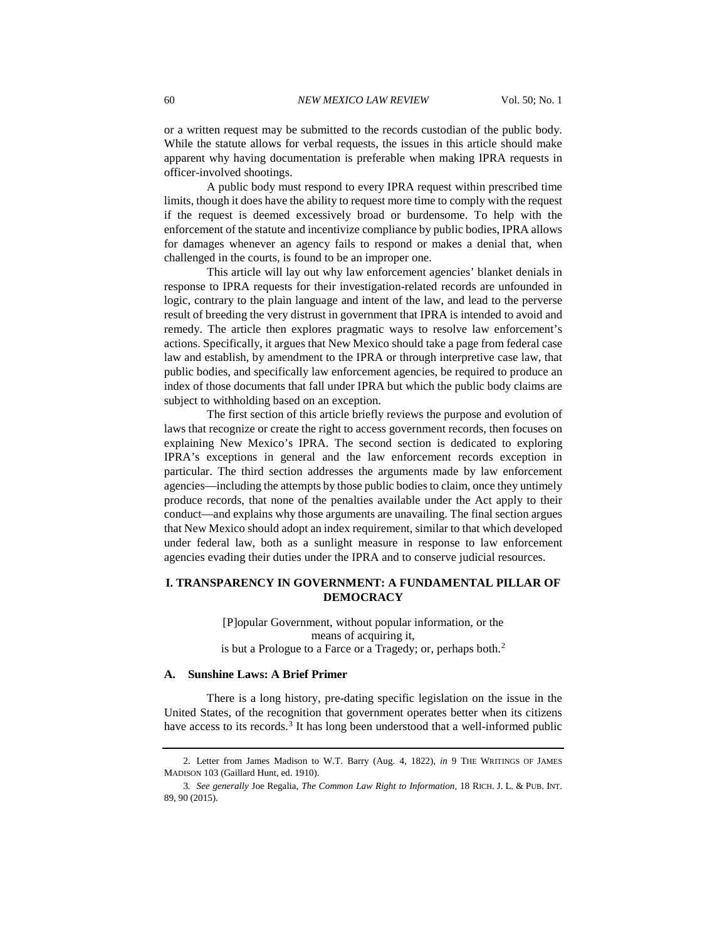or a written request may be submitted to the records custodian of the public body. While the statute allows for verbal requests, the issues in this article should make apparent why having documentation is preferable when making IPRA requests in officer-involved shootings.

A public body must respond to every IPRA request within prescribed time limits, though it does have the ability to request more time to comply with the request if the request is deemed excessively broad or burdensome. To help with the enforcement of the statute and incentivize compliance by public bodies, IPRA allows for damages whenever an agency fails to respond or makes a denial that, when challenged in the courts, is found to be an improper one.

This article will lay out why law enforcement agencies' blanket denials in response to IPRA requests for their investigation-related records are unfounded in logic, contrary to the plain language and intent of the law, and lead to the perverse result of breeding the very distrust in government that IPRA is intended to avoid and remedy. The article then explores pragmatic ways to resolve law enforcement's actions. Specifically, it argues that New Mexico should take a page from federal case law and establish, by amendment to the IPRA or through interpretive case law, that public bodies, and specifically law enforcement agencies, be required to produce an index of those documents that fall under IPRA but which the public body claims are subject to withholding based on an exception.

The first section of this article briefly reviews the purpose and evolution of laws that recognize or create the right to access government records, then focuses on explaining New Mexico's IPRA. The second section is dedicated to exploring IPRA's exceptions in general and the law enforcement records exception in particular. The third section addresses the arguments made by law enforcement agencies—including the attempts by those public bodies to claim, once they untimely produce records, that none of the penalties available under the Act apply to their conduct—and explains why those arguments are unavailing. The final section argues that New Mexico should adopt an index requirement, similar to that which developed under federal law, both as a sunlight measure in response to law enforcement agencies evading their duties under the IPRA and to conserve judicial resources.

# **I. TRANSPARENCY IN GOVERNMENT: A FUNDAMENTAL PILLAR OF DEMOCRACY**

[P]opular Government, without popular information, or the means of acquiring it, is but a Prologue to a Farce or a Tragedy; or, perhaps both.<sup>[2](#page-2-0)</sup>

#### **A. Sunshine Laws: A Brief Primer**

There is a long history, pre-dating specific legislation on the issue in the United States, of the recognition that government operates better when its citizens have access to its records.<sup>[3](#page-2-1)</sup> It has long been understood that a well-informed public

<span id="page-2-0"></span><sup>2.</sup> Letter from James Madison to W.T. Barry (Aug. 4, 1822), *in* 9 THE WRITINGS OF JAMES MADISON 103 (Gaillard Hunt, ed. 1910).

<span id="page-2-1"></span><sup>3</sup>*. See generally* Joe Regalia, *The Common Law Right to Information*, 18 RICH. J. L. & PUB. INT. 89, 90 (2015).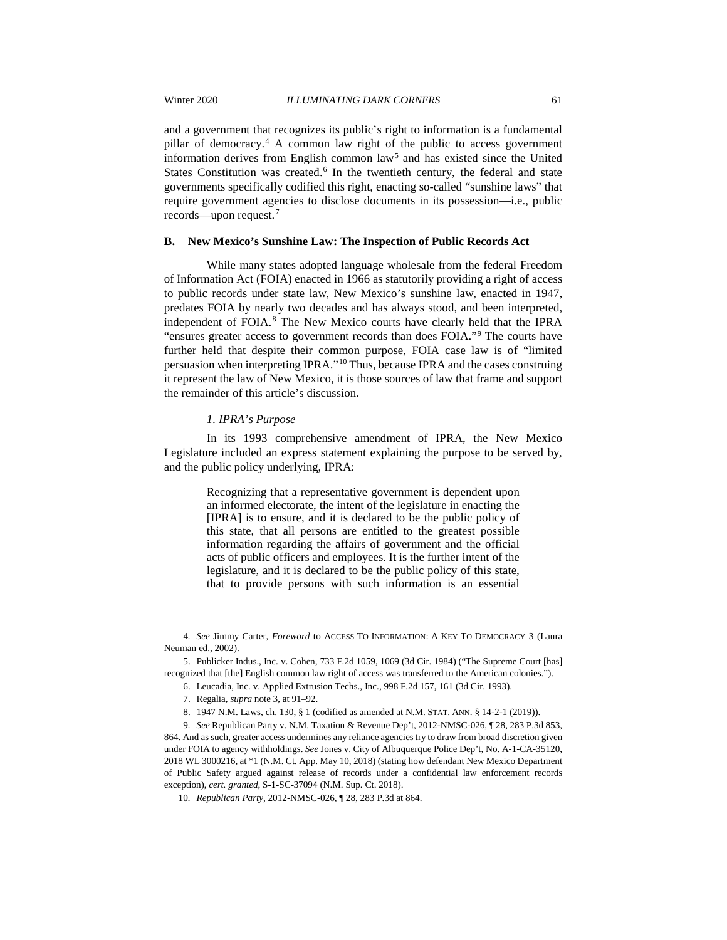and a government that recognizes its public's right to information is a fundamental pillar of democracy.[4](#page-3-0) A common law right of the public to access government information derives from English common law<sup>[5](#page-3-1)</sup> and has existed since the United States Constitution was created.<sup>[6](#page-3-2)</sup> In the twentieth century, the federal and state governments specifically codified this right, enacting so-called "sunshine laws" that require government agencies to disclose documents in its possession—i.e., public records—upon request.[7](#page-3-3)

#### **B. New Mexico's Sunshine Law: The Inspection of Public Records Act**

While many states adopted language wholesale from the federal Freedom of Information Act (FOIA) enacted in 1966 as statutorily providing a right of access to public records under state law, New Mexico's sunshine law, enacted in 1947, predates FOIA by nearly two decades and has always stood, and been interpreted, independent of FOIA.[8](#page-3-4) The New Mexico courts have clearly held that the IPRA "ensures greater access to government records than does FOIA."[9](#page-3-5) The courts have further held that despite their common purpose, FOIA case law is of "limited persuasion when interpreting IPRA."[10](#page-3-6) Thus, because IPRA and the cases construing it represent the law of New Mexico, it is those sources of law that frame and support the remainder of this article's discussion.

#### *1. IPRA's Purpose*

In its 1993 comprehensive amendment of IPRA, the New Mexico Legislature included an express statement explaining the purpose to be served by, and the public policy underlying, IPRA:

> Recognizing that a representative government is dependent upon an informed electorate, the intent of the legislature in enacting the [IPRA] is to ensure, and it is declared to be the public policy of this state, that all persons are entitled to the greatest possible information regarding the affairs of government and the official acts of public officers and employees. It is the further intent of the legislature, and it is declared to be the public policy of this state, that to provide persons with such information is an essential

<span id="page-3-0"></span><sup>4</sup>*. See* Jimmy Carter, *Foreword* to ACCESS TO INFORMATION: A KEY TO DEMOCRACY 3 (Laura Neuman ed., 2002).

<span id="page-3-2"></span><span id="page-3-1"></span><sup>5.</sup> Publicker Indus., Inc. v. Cohen, 733 F.2d 1059, 1069 (3d Cir. 1984) ("The Supreme Court [has] recognized that [the] English common law right of access was transferred to the American colonies.").

<sup>6.</sup> Leucadia, Inc. v. Applied Extrusion Techs., Inc., 998 F.2d 157, 161 (3d Cir. 1993).

<sup>7.</sup> Regalia, *supra* note 3, at 91–92.

<sup>8.</sup> 1947 N.M. Laws, ch. 130, § 1 (codified as amended at N.M. STAT. ANN. § 14-2-1 (2019)).

<span id="page-3-5"></span><span id="page-3-4"></span><span id="page-3-3"></span><sup>9</sup>*. See* Republican Party v. N.M. Taxation & Revenue Dep't, 2012-NMSC-026, ¶ 28, 283 P.3d 853, 864. And as such, greater access undermines any reliance agencies try to draw from broad discretion given under FOIA to agency withholdings. *See* Jones v. City of Albuquerque Police Dep't, No. A-1-CA-35120, 2018 WL 3000216, at \*1 (N.M. Ct. App. May 10, 2018) (stating how defendant New Mexico Department of Public Safety argued against release of records under a confidential law enforcement records exception), *cert. granted*, S-1-SC-37094 (N.M. Sup. Ct. 2018).

<span id="page-3-6"></span><sup>10</sup>*. Republican Party*, 2012-NMSC-026, ¶ 28, 283 P.3d at 864.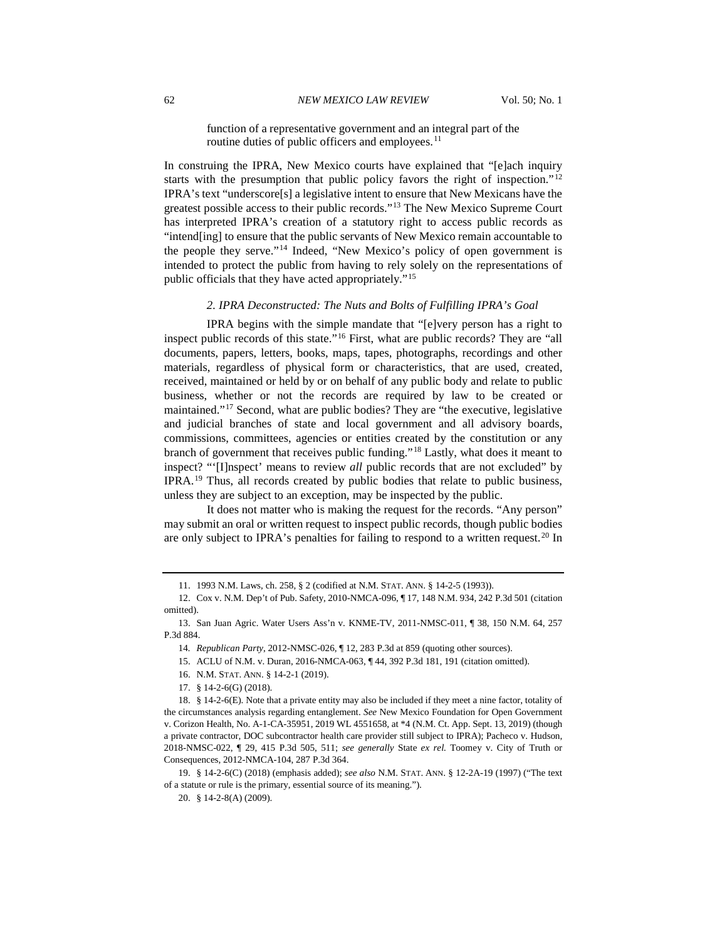function of a representative government and an integral part of the routine duties of public officers and employees.<sup>[11](#page-4-0)</sup>

In construing the IPRA, New Mexico courts have explained that "[e]ach inquiry starts with the presumption that public policy favors the right of inspection."<sup>[12](#page-4-1)</sup> IPRA's text "underscore[s] a legislative intent to ensure that New Mexicans have the greatest possible access to their public records."[13](#page-4-2) The New Mexico Supreme Court has interpreted IPRA's creation of a statutory right to access public records as "intend[ing] to ensure that the public servants of New Mexico remain accountable to the people they serve."[14](#page-4-3) Indeed, "New Mexico's policy of open government is intended to protect the public from having to rely solely on the representations of public officials that they have acted appropriately."[15](#page-4-4)

#### *2. IPRA Deconstructed: The Nuts and Bolts of Fulfilling IPRA's Goal*

IPRA begins with the simple mandate that "[e]very person has a right to inspect public records of this state."[16](#page-4-5) First, what are public records? They are "all documents, papers, letters, books, maps, tapes, photographs, recordings and other materials, regardless of physical form or characteristics, that are used, created, received, maintained or held by or on behalf of any public body and relate to public business, whether or not the records are required by law to be created or maintained."[17](#page-4-6) Second, what are public bodies? They are "the executive, legislative and judicial branches of state and local government and all advisory boards, commissions, committees, agencies or entities created by the constitution or any branch of government that receives public funding."[18](#page-4-7) Lastly, what does it meant to inspect? "'[I]nspect' means to review *all* public records that are not excluded" by IPRA.[19](#page-4-8) Thus, all records created by public bodies that relate to public business, unless they are subject to an exception, may be inspected by the public.

It does not matter who is making the request for the records. "Any person" may submit an oral or written request to inspect public records, though public bodies are only subject to IPRA's penalties for failing to respond to a written request.[20](#page-4-9) In

<sup>11.</sup> 1993 N.M. Laws, ch. 258, § 2 (codified at N.M. STAT. ANN. § 14-2-5 (1993)).

<span id="page-4-1"></span><span id="page-4-0"></span><sup>12.</sup> Cox v. N.M. Dep't of Pub. Safety, 2010-NMCA-096, ¶ 17, 148 N.M. 934, 242 P.3d 501 (citation omitted).

<span id="page-4-4"></span><span id="page-4-3"></span><span id="page-4-2"></span><sup>13.</sup> San Juan Agric. Water Users Ass'n v. KNME-TV, 2011-NMSC-011, ¶ 38, 150 N.M. 64, 257 P.3d 884.

<sup>14</sup>*. Republican Party*, 2012-NMSC-026, ¶ 12, 283 P.3d at 859 (quoting other sources).

<sup>15.</sup> ACLU of N.M. v. Duran, 2016-NMCA-063, ¶ 44, 392 P.3d 181, 191 (citation omitted).

<sup>16.</sup> N.M. STAT. ANN. § 14-2-1 (2019).

<sup>17.</sup> § 14-2-6(G) (2018).

<span id="page-4-7"></span><span id="page-4-6"></span><span id="page-4-5"></span><sup>18.</sup> § 14-2-6(E). Note that a private entity may also be included if they meet a nine factor, totality of the circumstances analysis regarding entanglement. *See* New Mexico Foundation for Open Government v. Corizon Health, No. A-1-CA-35951, 2019 WL 4551658, at \*4 (N.M. Ct. App. Sept. 13, 2019) (though a private contractor, DOC subcontractor health care provider still subject to IPRA); Pacheco v. Hudson, 2018-NMSC-022, ¶ 29, 415 P.3d 505, 511; *see generally* State *ex rel.* Toomey v. City of Truth or Consequences, 2012-NMCA-104, 287 P.3d 364.

<span id="page-4-9"></span><span id="page-4-8"></span><sup>19.</sup> § 14-2-6(C) (2018) (emphasis added); *see also* N.M. STAT. ANN. § 12-2A-19 (1997) ("The text of a statute or rule is the primary, essential source of its meaning.").

<sup>20.</sup> § 14-2-8(A) (2009).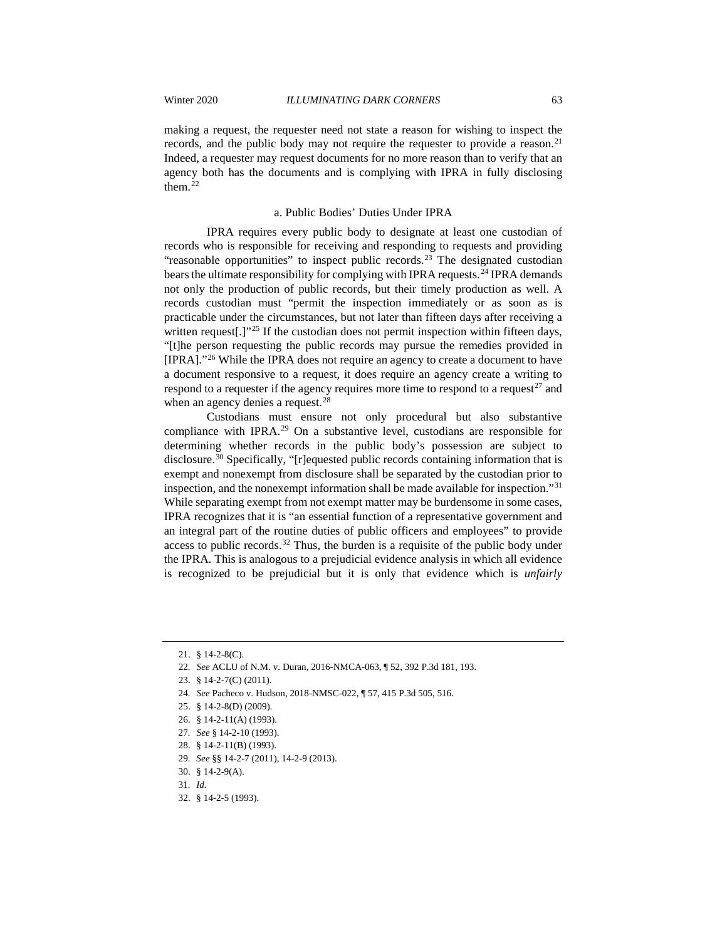making a request, the requester need not state a reason for wishing to inspect the records, and the public body may not require the requester to provide a reason.<sup>[21](#page-5-0)</sup> Indeed, a requester may request documents for no more reason than to verify that an agency both has the documents and is complying with IPRA in fully disclosing them.<sup>[22](#page-5-1)</sup>

#### a. Public Bodies' Duties Under IPRA

IPRA requires every public body to designate at least one custodian of records who is responsible for receiving and responding to requests and providing "reasonable opportunities" to inspect public records.<sup>[23](#page-5-2)</sup> The designated custodian bears the ultimate responsibility for complying with IPRA requests.<sup>[24](#page-5-3)</sup> IPRA demands not only the production of public records, but their timely production as well. A records custodian must "permit the inspection immediately or as soon as is practicable under the circumstances, but not later than fifteen days after receiving a written request[.]"<sup>[25](#page-5-4)</sup> If the custodian does not permit inspection within fifteen days, "[t]he person requesting the public records may pursue the remedies provided in [IPRA]."[26](#page-5-5) While the IPRA does not require an agency to create a document to have a document responsive to a request, it does require an agency create a writing to respond to a requester if the agency requires more time to respond to a request<sup>27</sup> and when an agency denies a request.<sup>[28](#page-5-7)</sup>

Custodians must ensure not only procedural but also substantive compliance with IPRA.<sup>[29](#page-5-8)</sup> On a substantive level, custodians are responsible for determining whether records in the public body's possession are subject to disclosure.<sup>[30](#page-5-9)</sup> Specifically, "[r]equested public records containing information that is exempt and nonexempt from disclosure shall be separated by the custodian prior to inspection, and the nonexempt information shall be made available for inspection."[31](#page-5-10) While separating exempt from not exempt matter may be burdensome in some cases, IPRA recognizes that it is "an essential function of a representative government and an integral part of the routine duties of public officers and employees" to provide access to public records.<sup>[32](#page-5-11)</sup> Thus, the burden is a requisite of the public body under the IPRA. This is analogous to a prejudicial evidence analysis in which all evidence is recognized to be prejudicial but it is only that evidence which is *unfairly*

- 24*. See* Pacheco v. Hudson, 2018-NMSC-022, ¶ 57, 415 P.3d 505, 516.
- <span id="page-5-5"></span><span id="page-5-4"></span><span id="page-5-3"></span>25. § 14-2-8(D) (2009).
- 26. § 14-2-11(A) (1993).
- <span id="page-5-6"></span>27*. See* § 14-2-10 (1993).
- <span id="page-5-7"></span>28. § 14-2-11(B) (1993).
- <span id="page-5-8"></span>29*. See* §§ 14-2-7 (2011), 14-2-9 (2013).
- 30. § 14-2-9(A).
- <span id="page-5-10"></span><span id="page-5-9"></span>31*. Id.*
- <span id="page-5-11"></span>32. § 14-2-5 (1993).

<span id="page-5-1"></span><span id="page-5-0"></span><sup>21.</sup> § 14-2-8(C).

<sup>22</sup>*. See* ACLU of N.M. v. Duran, 2016-NMCA-063, ¶ 52, 392 P.3d 181, 193.

<span id="page-5-2"></span><sup>23.</sup> § 14-2-7(C) (2011).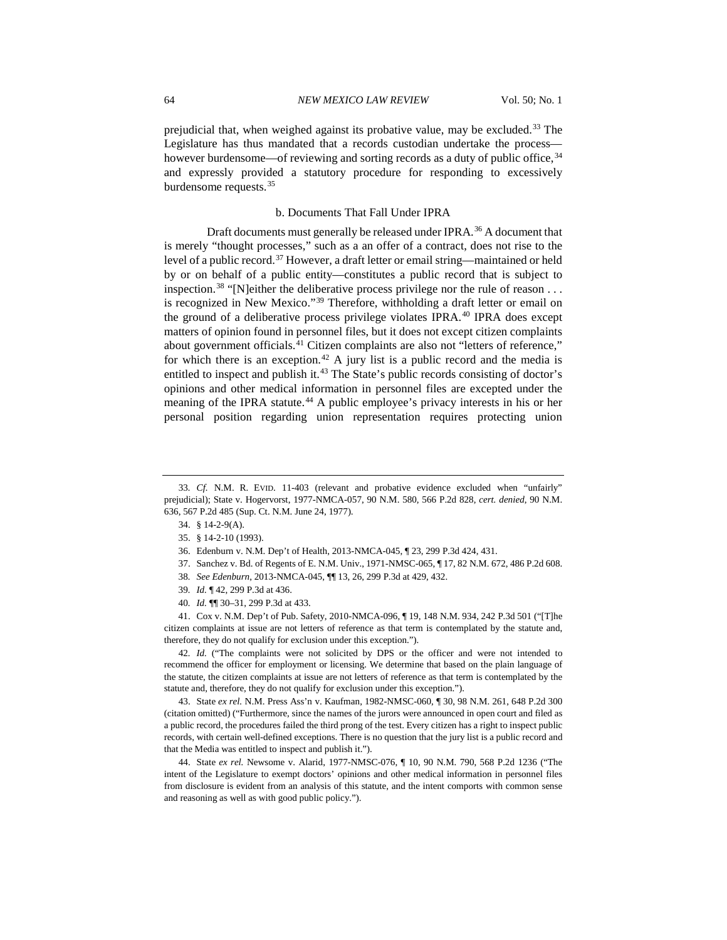prejudicial that, when weighed against its probative value, may be excluded.<sup>[33](#page-6-0)</sup> The Legislature has thus mandated that a records custodian undertake the process— however burdensome—of reviewing and sorting records as a duty of public office, <sup>[34](#page-6-1)</sup> and expressly provided a statutory procedure for responding to excessively burdensome requests.[35](#page-6-2)

#### b. Documents That Fall Under IPRA

Draft documents must generally be released under IPRA.<sup>[36](#page-6-3)</sup> A document that is merely "thought processes," such as a an offer of a contract, does not rise to the level of a public record.<sup>[37](#page-6-4)</sup> However, a draft letter or email string—maintained or held by or on behalf of a public entity—constitutes a public record that is subject to inspection.<sup>[38](#page-6-5)</sup> "[N]either the deliberative process privilege nor the rule of reason  $\dots$ is recognized in New Mexico."[39](#page-6-6) Therefore, withholding a draft letter or email on the ground of a deliberative process privilege violates IPRA.<sup>[40](#page-6-7)</sup> IPRA does except matters of opinion found in personnel files, but it does not except citizen complaints about government officials.<sup>[41](#page-6-8)</sup> Citizen complaints are also not "letters of reference," for which there is an exception.<sup>[42](#page-6-9)</sup> A jury list is a public record and the media is entitled to inspect and publish it.<sup>[43](#page-6-10)</sup> The State's public records consisting of doctor's opinions and other medical information in personnel files are excepted under the meaning of the IPRA statute.<sup>[44](#page-6-11)</sup> A public employee's privacy interests in his or her personal position regarding union representation requires protecting union

- 37. Sanchez v. Bd. of Regents of E. N.M. Univ., 1971-NMSC-065, ¶ 17, 82 N.M. 672, 486 P.2d 608.
- 38*. See Edenburn*, 2013-NMCA-045, ¶¶ 13, 26, 299 P.3d at 429, 432.
- 39*. Id.* ¶ 42, 299 P.3d at 436.
- 40*. Id.* ¶¶ 30–31, 299 P.3d at 433.

<span id="page-6-8"></span><span id="page-6-7"></span><span id="page-6-6"></span><span id="page-6-5"></span><span id="page-6-4"></span>41. Cox v. N.M. Dep't of Pub. Safety, 2010-NMCA-096, ¶ 19, 148 N.M. 934, 242 P.3d 501 ("[T]he citizen complaints at issue are not letters of reference as that term is contemplated by the statute and, therefore, they do not qualify for exclusion under this exception.").

<span id="page-6-9"></span>42*. Id.* ("The complaints were not solicited by DPS or the officer and were not intended to recommend the officer for employment or licensing. We determine that based on the plain language of the statute, the citizen complaints at issue are not letters of reference as that term is contemplated by the statute and, therefore, they do not qualify for exclusion under this exception.").

<span id="page-6-10"></span>43. State *ex rel.* N.M. Press Ass'n v. Kaufman, 1982-NMSC-060, ¶ 30, 98 N.M. 261, 648 P.2d 300 (citation omitted) ("Furthermore, since the names of the jurors were announced in open court and filed as a public record, the procedures failed the third prong of the test. Every citizen has a right to inspect public records, with certain well-defined exceptions. There is no question that the jury list is a public record and that the Media was entitled to inspect and publish it.").

<span id="page-6-11"></span>44. State *ex rel.* Newsome v. Alarid, 1977-NMSC-076, ¶ 10, 90 N.M. 790, 568 P.2d 1236 ("The intent of the Legislature to exempt doctors' opinions and other medical information in personnel files from disclosure is evident from an analysis of this statute, and the intent comports with common sense and reasoning as well as with good public policy.").

<span id="page-6-3"></span><span id="page-6-2"></span><span id="page-6-1"></span><span id="page-6-0"></span><sup>33</sup>*. Cf.* N.M. R. EVID. 11-403 (relevant and probative evidence excluded when "unfairly" prejudicial); State v. Hogervorst, 1977-NMCA-057, 90 N.M. 580, 566 P.2d 828, *cert. denied*, 90 N.M. 636, 567 P.2d 485 (Sup. Ct. N.M. June 24, 1977).

<sup>34.</sup> § 14-2-9(A).

<sup>35.</sup> § 14-2-10 (1993).

<sup>36.</sup> Edenburn v. N.M. Dep't of Health, 2013-NMCA-045, ¶ 23, 299 P.3d 424, 431.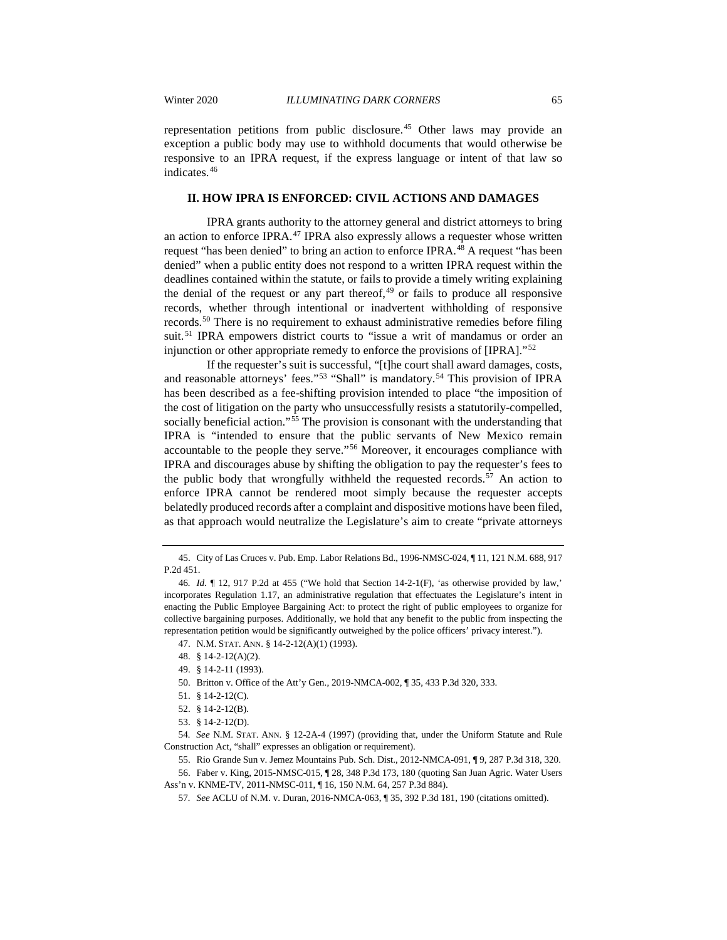representation petitions from public disclosure.[45](#page-7-0) Other laws may provide an exception a public body may use to withhold documents that would otherwise be responsive to an IPRA request, if the express language or intent of that law so indicates.[46](#page-7-1)

## **II. HOW IPRA IS ENFORCED: CIVIL ACTIONS AND DAMAGES**

IPRA grants authority to the attorney general and district attorneys to bring an action to enforce IPRA.<sup>[47](#page-7-2)</sup> IPRA also expressly allows a requester whose written request "has been denied" to bring an action to enforce IPRA.[48](#page-7-3) A request "has been denied" when a public entity does not respond to a written IPRA request within the deadlines contained within the statute, or fails to provide a timely writing explaining the denial of the request or any part thereof, $49$  or fails to produce all responsive records, whether through intentional or inadvertent withholding of responsive records.[50](#page-7-5) There is no requirement to exhaust administrative remedies before filing suit.<sup>[51](#page-7-6)</sup> IPRA empowers district courts to "issue a writ of mandamus or order an injunction or other appropriate remedy to enforce the provisions of [IPRA]."[52](#page-7-7)

If the requester's suit is successful, "[t]he court shall award damages, costs, and reasonable attorneys' fees."<sup>[53](#page-7-8)</sup> "Shall" is mandatory.<sup>[54](#page-7-9)</sup> This provision of IPRA has been described as a fee-shifting provision intended to place "the imposition of the cost of litigation on the party who unsuccessfully resists a statutorily-compelled, socially beneficial action."[55](#page-7-10) The provision is consonant with the understanding that IPRA is "intended to ensure that the public servants of New Mexico remain accountable to the people they serve."[56](#page-7-11) Moreover, it encourages compliance with IPRA and discourages abuse by shifting the obligation to pay the requester's fees to the public body that wrongfully withheld the requested records.<sup>[57](#page-7-12)</sup> An action to enforce IPRA cannot be rendered moot simply because the requester accepts belatedly produced records after a complaint and dispositive motions have been filed, as that approach would neutralize the Legislature's aim to create "private attorneys

<span id="page-7-9"></span><span id="page-7-8"></span><span id="page-7-7"></span><span id="page-7-6"></span><span id="page-7-5"></span><span id="page-7-4"></span>54*. See* N.M. STAT. ANN. § 12-2A-4 (1997) (providing that, under the Uniform Statute and Rule Construction Act, "shall" expresses an obligation or requirement).

55. Rio Grande Sun v. Jemez Mountains Pub. Sch. Dist., 2012-NMCA-091, ¶ 9, 287 P.3d 318, 320.

<span id="page-7-12"></span><span id="page-7-11"></span><span id="page-7-10"></span>56. Faber v. King, 2015-NMSC-015, ¶ 28, 348 P.3d 173, 180 (quoting San Juan Agric. Water Users Ass'n v. KNME-TV, 2011-NMSC-011, ¶ 16, 150 N.M. 64, 257 P.3d 884).

57*. See* ACLU of N.M. v. Duran, 2016-NMCA-063, ¶ 35, 392 P.3d 181, 190 (citations omitted).

<span id="page-7-0"></span><sup>45.</sup> City of Las Cruces v. Pub. Emp. Labor Relations Bd., 1996-NMSC-024, ¶ 11, 121 N.M. 688, 917 P.2d 451.

<span id="page-7-2"></span><span id="page-7-1"></span><sup>46</sup>*. Id.* ¶ 12, 917 P.2d at 455 ("We hold that Section 14-2-1(F), 'as otherwise provided by law,' incorporates Regulation 1.17, an administrative regulation that effectuates the Legislature's intent in enacting the Public Employee Bargaining Act: to protect the right of public employees to organize for collective bargaining purposes. Additionally, we hold that any benefit to the public from inspecting the representation petition would be significantly outweighed by the police officers' privacy interest.").

<span id="page-7-3"></span><sup>47.</sup> N.M. STAT. ANN. § 14-2-12(A)(1) (1993).

<sup>48.</sup> § 14-2-12(A)(2).

<sup>49.</sup> § 14-2-11 (1993).

<sup>50.</sup> Britton v. Office of the Att'y Gen., 2019-NMCA-002, ¶ 35, 433 P.3d 320, 333.

<sup>51.</sup> § 14-2-12(C).

<sup>52.</sup> § 14-2-12(B).

<sup>53.</sup> § 14-2-12(D).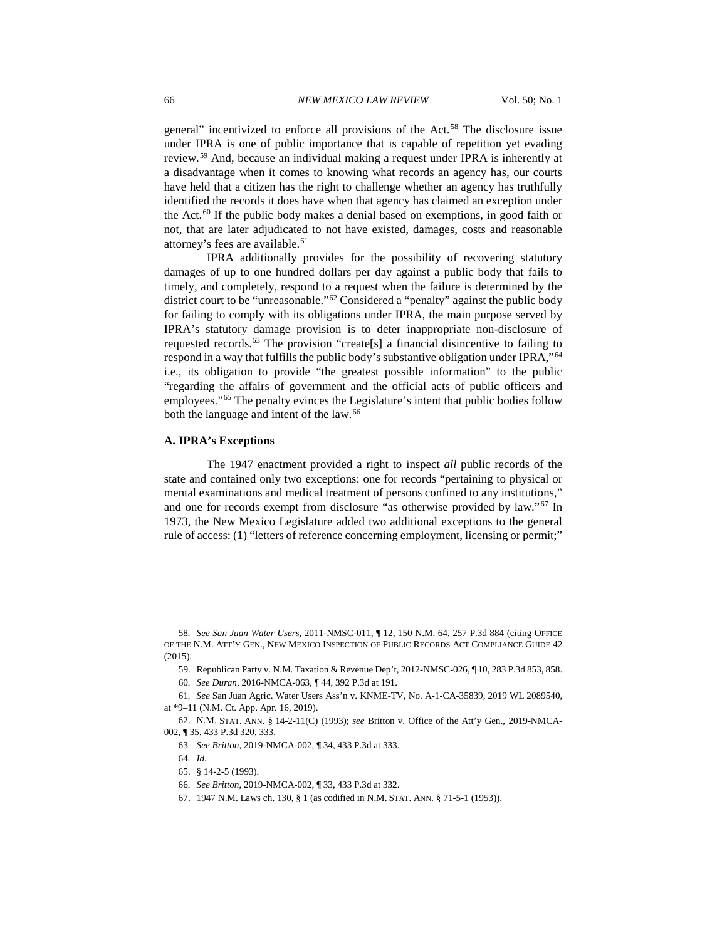general" incentivized to enforce all provisions of the Act.[58](#page-8-0) The disclosure issue under IPRA is one of public importance that is capable of repetition yet evading review.[59](#page-8-1) And, because an individual making a request under IPRA is inherently at a disadvantage when it comes to knowing what records an agency has, our courts have held that a citizen has the right to challenge whether an agency has truthfully identified the records it does have when that agency has claimed an exception under the Act.<sup>[60](#page-8-2)</sup> If the public body makes a denial based on exemptions, in good faith or not, that are later adjudicated to not have existed, damages, costs and reasonable attorney's fees are available.<sup>[61](#page-8-3)</sup>

IPRA additionally provides for the possibility of recovering statutory damages of up to one hundred dollars per day against a public body that fails to timely, and completely, respond to a request when the failure is determined by the district court to be "unreasonable."[62](#page-8-4) Considered a "penalty" against the public body for failing to comply with its obligations under IPRA, the main purpose served by IPRA's statutory damage provision is to deter inappropriate non-disclosure of requested records.[63](#page-8-5) The provision "create[s] a financial disincentive to failing to respond in a way that fulfills the public body's substantive obligation under IPRA,"[64](#page-8-6) i.e., its obligation to provide "the greatest possible information" to the public "regarding the affairs of government and the official acts of public officers and employees."[65](#page-8-7) The penalty evinces the Legislature's intent that public bodies follow both the language and intent of the law.<sup>[66](#page-8-8)</sup>

#### **A. IPRA's Exceptions**

The 1947 enactment provided a right to inspect *all* public records of the state and contained only two exceptions: one for records "pertaining to physical or mental examinations and medical treatment of persons confined to any institutions," and one for records exempt from disclosure "as otherwise provided by law."[67](#page-8-9) In 1973, the New Mexico Legislature added two additional exceptions to the general rule of access: (1) "letters of reference concerning employment, licensing or permit;"

65. § 14-2-5 (1993).

<span id="page-8-0"></span><sup>58</sup>*. See San Juan Water Users*, 2011-NMSC-011, ¶ 12, 150 N.M. 64, 257 P.3d 884 (citing OFFICE OF THE N.M. ATT'Y GEN., NEW MEXICO INSPECTION OF PUBLIC RECORDS ACT COMPLIANCE GUIDE 42 (2015).

<sup>59.</sup> Republican Party v. N.M. Taxation & Revenue Dep't, 2012-NMSC-026, ¶ 10, 283 P.3d 853, 858.

<sup>60</sup>*. See Duran*, 2016-NMCA-063, ¶ 44, 392 P.3d at 191.

<span id="page-8-3"></span><span id="page-8-2"></span><span id="page-8-1"></span><sup>61</sup>*. See* San Juan Agric. Water Users Ass'n v. KNME-TV, No. A-1-CA-35839, 2019 WL 2089540, at \*9–11 (N.M. Ct. App. Apr. 16, 2019).

<span id="page-8-8"></span><span id="page-8-7"></span><span id="page-8-6"></span><span id="page-8-5"></span><span id="page-8-4"></span><sup>62.</sup> N.M. STAT. ANN. § 14-2-11(C) (1993); *see* Britton v. Office of the Att'y Gen., 2019-NMCA-002, ¶ 35, 433 P.3d 320, 333.

<sup>63</sup>*. See Britton*, 2019-NMCA-002, ¶ 34, 433 P.3d at 333.

<sup>64</sup>*. Id.*

<sup>66</sup>*. See Britton*, 2019-NMCA-002, ¶ 33, 433 P.3d at 332.

<span id="page-8-9"></span><sup>67.</sup> 1947 N.M. Laws ch. 130, § 1 (as codified in N.M. STAT. ANN. § 71-5-1 (1953)).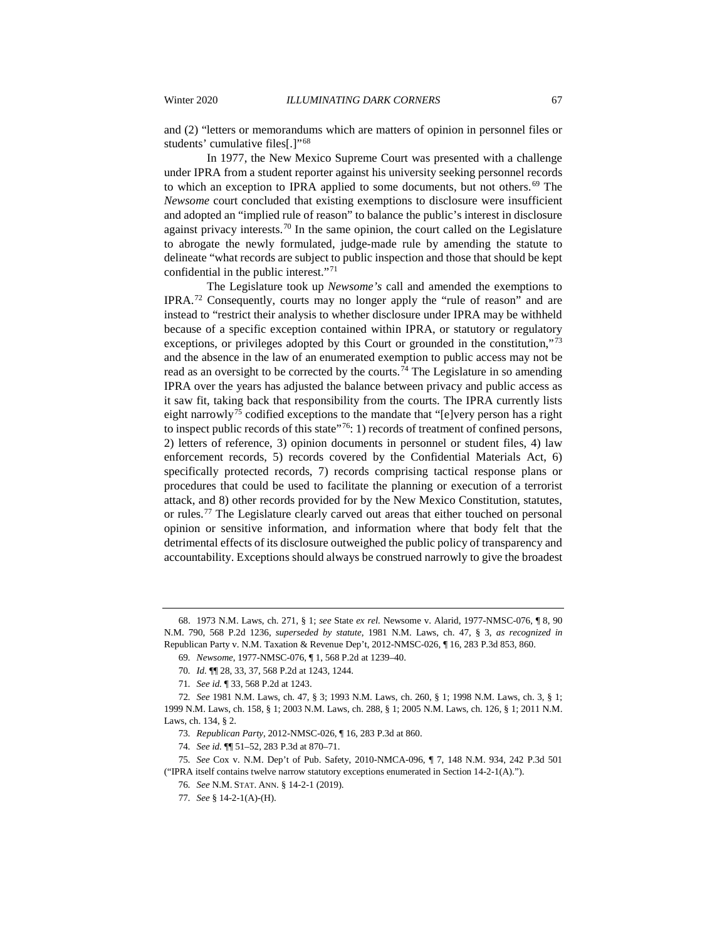and (2) "letters or memorandums which are matters of opinion in personnel files or students' cumulative files[.]"[68](#page-9-0)

In 1977, the New Mexico Supreme Court was presented with a challenge under IPRA from a student reporter against his university seeking personnel records to which an exception to IPRA applied to some documents, but not others.<sup>[69](#page-9-1)</sup> The *Newsome* court concluded that existing exemptions to disclosure were insufficient and adopted an "implied rule of reason" to balance the public's interest in disclosure against privacy interests.[70](#page-9-2) In the same opinion, the court called on the Legislature to abrogate the newly formulated, judge-made rule by amending the statute to delineate "what records are subject to public inspection and those that should be kept confidential in the public interest."[71](#page-9-3)

The Legislature took up *Newsome's* call and amended the exemptions to IPRA.[72](#page-9-4) Consequently, courts may no longer apply the "rule of reason" and are instead to "restrict their analysis to whether disclosure under IPRA may be withheld because of a specific exception contained within IPRA, or statutory or regulatory exceptions, or privileges adopted by this Court or grounded in the constitution,"<sup>[73](#page-9-5)</sup> and the absence in the law of an enumerated exemption to public access may not be read as an oversight to be corrected by the courts.[74](#page-9-6) The Legislature in so amending IPRA over the years has adjusted the balance between privacy and public access as it saw fit, taking back that responsibility from the courts. The IPRA currently lists eight narrowly<sup>[75](#page-9-7)</sup> codified exceptions to the mandate that "[e]very person has a right to inspect public records of this state  $1$ <sup>76</sup>: 1) records of treatment of confined persons, 2) letters of reference, 3) opinion documents in personnel or student files, 4) law enforcement records, 5) records covered by the Confidential Materials Act, 6) specifically protected records, 7) records comprising tactical response plans or procedures that could be used to facilitate the planning or execution of a terrorist attack, and 8) other records provided for by the New Mexico Constitution, statutes, or rules.[77](#page-9-9) The Legislature clearly carved out areas that either touched on personal opinion or sensitive information, and information where that body felt that the detrimental effects of its disclosure outweighed the public policy of transparency and accountability. Exceptions should always be construed narrowly to give the broadest

<span id="page-9-1"></span><span id="page-9-0"></span><sup>68.</sup> 1973 N.M. Laws, ch. 271, § 1; *see* State *ex rel.* Newsome v. Alarid, 1977-NMSC-076, ¶ 8, 90 N.M. 790, 568 P.2d 1236, *superseded by statute*, 1981 N.M. Laws, ch. 47, § 3, *as recognized in*  Republican Party v. N.M. Taxation & Revenue Dep't, 2012-NMSC-026, ¶ 16, 283 P.3d 853, 860.

<sup>69</sup>*. Newsome*, 1977-NMSC-076, ¶ 1, 568 P.2d at 1239–40.

<sup>70</sup>*. Id.* ¶¶ 28, 33, 37, 568 P.2d at 1243, 1244.

<sup>71</sup>*. See id.* ¶ 33, 568 P.2d at 1243.

<span id="page-9-4"></span><span id="page-9-3"></span><span id="page-9-2"></span><sup>72</sup>*. See* 1981 N.M. Laws, ch. 47, § 3; 1993 N.M. Laws, ch. 260, § 1; 1998 N.M. Laws, ch. 3, § 1; 1999 N.M. Laws, ch. 158, § 1; 2003 N.M. Laws, ch. 288, § 1; 2005 N.M. Laws, ch. 126, § 1; 2011 N.M. Laws, ch. 134, § 2.

<sup>73</sup>*. Republican Party*, 2012-NMSC-026, ¶ 16, 283 P.3d at 860.

<sup>74</sup>*. See id.* ¶¶ 51–52, 283 P.3d at 870–71.

<span id="page-9-9"></span><span id="page-9-8"></span><span id="page-9-7"></span><span id="page-9-6"></span><span id="page-9-5"></span><sup>75</sup>*. See* Cox v. N.M. Dep't of Pub. Safety, 2010-NMCA-096, ¶ 7, 148 N.M. 934, 242 P.3d 501 ("IPRA itself contains twelve narrow statutory exceptions enumerated in Section 14-2-1(A).").

<sup>76</sup>*. See* N.M. STAT. ANN. § 14-2-1 (2019).

<sup>77</sup>*. See* § 14-2-1(A)-(H).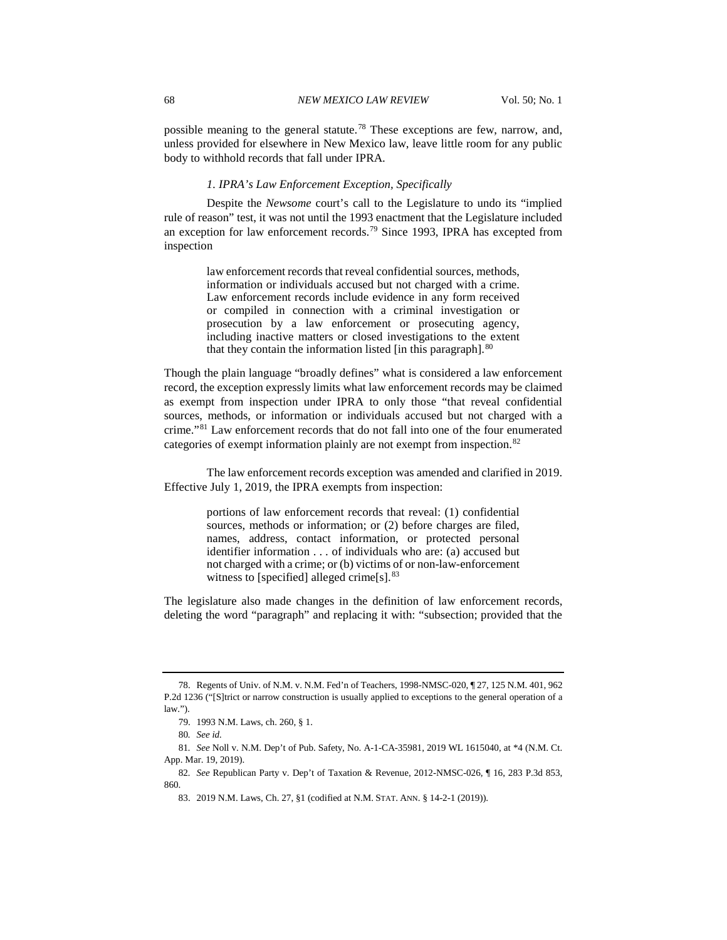possible meaning to the general statute.[78](#page-10-0) These exceptions are few, narrow, and, unless provided for elsewhere in New Mexico law, leave little room for any public body to withhold records that fall under IPRA.

#### *1. IPRA's Law Enforcement Exception, Specifically*

Despite the *Newsome* court's call to the Legislature to undo its "implied rule of reason" test, it was not until the 1993 enactment that the Legislature included an exception for law enforcement records.[79](#page-10-1) Since 1993, IPRA has excepted from inspection

> law enforcement records that reveal confidential sources, methods, information or individuals accused but not charged with a crime. Law enforcement records include evidence in any form received or compiled in connection with a criminal investigation or prosecution by a law enforcement or prosecuting agency, including inactive matters or closed investigations to the extent that they contain the information listed [in this paragraph].<sup>[80](#page-10-2)</sup>

Though the plain language "broadly defines" what is considered a law enforcement record, the exception expressly limits what law enforcement records may be claimed as exempt from inspection under IPRA to only those "that reveal confidential sources, methods, or information or individuals accused but not charged with a crime."[81](#page-10-3) Law enforcement records that do not fall into one of the four enumerated categories of exempt information plainly are not exempt from inspection.[82](#page-10-4)

The law enforcement records exception was amended and clarified in 2019. Effective July 1, 2019, the IPRA exempts from inspection:

> portions of law enforcement records that reveal: (1) confidential sources, methods or information; or (2) before charges are filed, names, address, contact information, or protected personal identifier information . . . of individuals who are: (a) accused but not charged with a crime; or (b) victims of or non-law-enforcement witness to [specified] alleged crime[s].<sup>[83](#page-10-5)</sup>

The legislature also made changes in the definition of law enforcement records, deleting the word "paragraph" and replacing it with: "subsection; provided that the

<span id="page-10-0"></span><sup>78.</sup> Regents of Univ. of N.M. v. N.M. Fed'n of Teachers, 1998-NMSC-020, ¶ 27, 125 N.M. 401, 962 P.2d 1236 ("[S]trict or narrow construction is usually applied to exceptions to the general operation of a law.").

<sup>79.</sup> 1993 N.M. Laws, ch. 260, § 1.

<sup>80</sup>*. See id.*

<span id="page-10-3"></span><span id="page-10-2"></span><span id="page-10-1"></span><sup>81</sup>*. See* Noll v. N.M. Dep't of Pub. Safety, No. A-1-CA-35981, 2019 WL 1615040, at \*4 (N.M. Ct. App. Mar. 19, 2019).

<span id="page-10-5"></span><span id="page-10-4"></span><sup>82</sup>*. See* Republican Party v. Dep't of Taxation & Revenue, 2012-NMSC-026, ¶ 16, 283 P.3d 853, 860.

<sup>83.</sup> 2019 N.M. Laws, Ch. 27, §1 (codified at N.M. STAT. ANN. § 14-2-1 (2019)).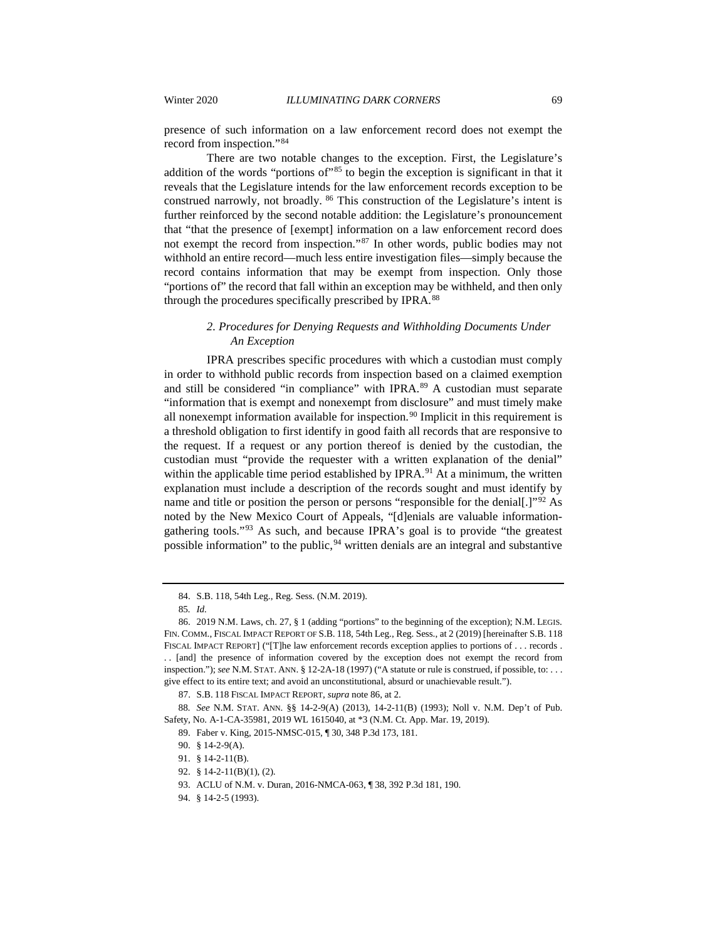presence of such information on a law enforcement record does not exempt the record from inspection."[84](#page-11-0)

There are two notable changes to the exception. First, the Legislature's addition of the words "portions of"<sup>[85](#page-11-1)</sup> to begin the exception is significant in that it reveals that the Legislature intends for the law enforcement records exception to be construed narrowly, not broadly. [86](#page-11-2) This construction of the Legislature's intent is further reinforced by the second notable addition: the Legislature's pronouncement that "that the presence of [exempt] information on a law enforcement record does not exempt the record from inspection."[87](#page-11-3) In other words, public bodies may not withhold an entire record—much less entire investigation files—simply because the record contains information that may be exempt from inspection. Only those "portions of" the record that fall within an exception may be withheld, and then only through the procedures specifically prescribed by IPRA.[88](#page-11-4)

# *2. Procedures for Denying Requests and Withholding Documents Under An Exception*

IPRA prescribes specific procedures with which a custodian must comply in order to withhold public records from inspection based on a claimed exemption and still be considered "in compliance" with IPRA.<sup>[89](#page-11-5)</sup> A custodian must separate "information that is exempt and nonexempt from disclosure" and must timely make all nonexempt information available for inspection.<sup>[90](#page-11-6)</sup> Implicit in this requirement is a threshold obligation to first identify in good faith all records that are responsive to the request. If a request or any portion thereof is denied by the custodian, the custodian must "provide the requester with a written explanation of the denial" within the applicable time period established by  $IPRA<sup>91</sup>$  $IPRA<sup>91</sup>$  $IPRA<sup>91</sup>$  At a minimum, the written explanation must include a description of the records sought and must identify by name and title or position the person or persons "responsible for the denial[.]"<sup>[92](#page-11-8)</sup> As noted by the New Mexico Court of Appeals, "[d]enials are valuable informationgathering tools."[93](#page-11-9) As such, and because IPRA's goal is to provide "the greatest possible information" to the public, <sup>[94](#page-11-10)</sup> written denials are an integral and substantive

<sup>84.</sup> S.B. 118, 54th Leg., Reg. Sess. (N.M. 2019).

<sup>85</sup>*. Id.*

<span id="page-11-2"></span><span id="page-11-1"></span><span id="page-11-0"></span><sup>86.</sup> 2019 N.M. Laws, ch. 27, § 1 (adding "portions" to the beginning of the exception); N.M. LEGIS. FIN. COMM., FISCAL IMPACT REPORT OF S.B. 118, 54th Leg., Reg. Sess., at 2 (2019) [hereinafter S.B. 118 FISCAL IMPACT REPORT] ("[T]he law enforcement records exception applies to portions of . . . records . . . [and] the presence of information covered by the exception does not exempt the record from inspection."); *see* N.M. STAT. ANN. § 12-2A-18 (1997) ("A statute or rule is construed, if possible, to: . . . give effect to its entire text; and avoid an unconstitutional, absurd or unachievable result.").

<sup>87.</sup> S.B. 118 FISCAL IMPACT REPORT, *supra* note 86, at 2.

<span id="page-11-8"></span><span id="page-11-7"></span><span id="page-11-6"></span><span id="page-11-5"></span><span id="page-11-4"></span><span id="page-11-3"></span><sup>88</sup>*. See* N.M. STAT. ANN. §§ 14-2-9(A) (2013), 14-2-11(B) (1993); Noll v. N.M. Dep't of Pub. Safety, No. A-1-CA-35981, 2019 WL 1615040, at \*3 (N.M. Ct. App. Mar. 19, 2019).

<sup>89.</sup> Faber v. King, 2015-NMSC-015, ¶ 30, 348 P.3d 173, 181.

<sup>90.</sup> § 14-2-9(A).

<sup>91.</sup> § 14-2-11(B).

<span id="page-11-9"></span><sup>92.</sup> § 14-2-11(B)(1), (2).

<sup>93.</sup> ACLU of N.M. v. Duran, 2016-NMCA-063, ¶ 38, 392 P.3d 181, 190.

<span id="page-11-10"></span><sup>94.</sup> § 14-2-5 (1993).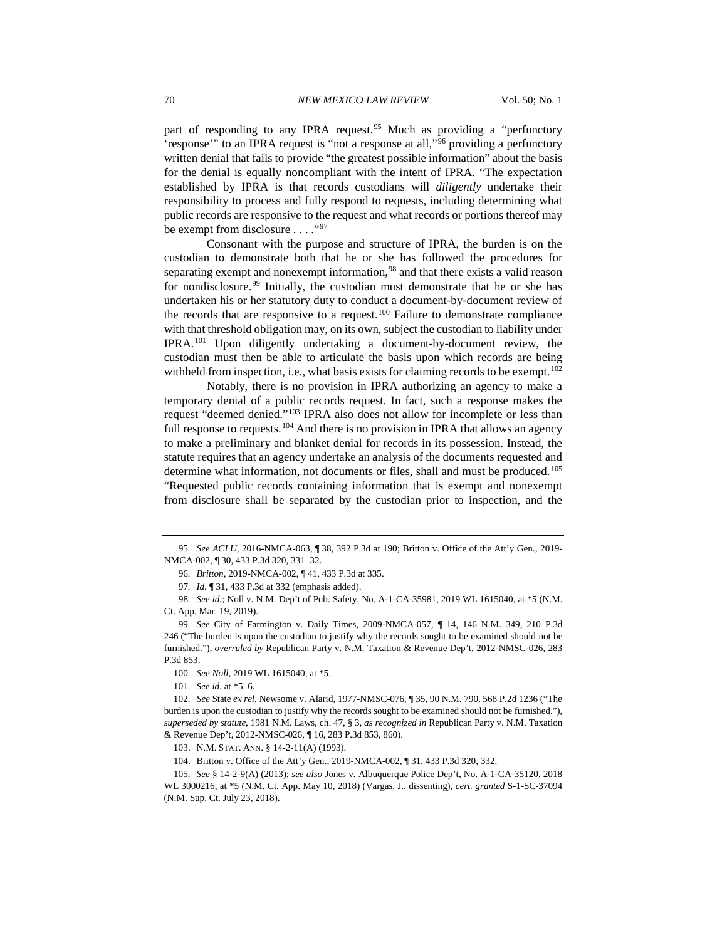part of responding to any IPRA request.<sup>[95](#page-12-0)</sup> Much as providing a "perfunctory 'response'" to an IPRA request is "not a response at all,"[96](#page-12-1) providing a perfunctory written denial that fails to provide "the greatest possible information" about the basis for the denial is equally noncompliant with the intent of IPRA. "The expectation established by IPRA is that records custodians will *diligently* undertake their responsibility to process and fully respond to requests, including determining what public records are responsive to the request and what records or portions thereof may be exempt from disclosure . . . . "[97](#page-12-2)"

Consonant with the purpose and structure of IPRA, the burden is on the custodian to demonstrate both that he or she has followed the procedures for separating exempt and nonexempt information,<sup>[98](#page-12-3)</sup> and that there exists a valid reason for nondisclosure.<sup>[99](#page-12-4)</sup> Initially, the custodian must demonstrate that he or she has undertaken his or her statutory duty to conduct a document-by-document review of the records that are responsive to a request.<sup>[100](#page-12-5)</sup> Failure to demonstrate compliance with that threshold obligation may, on its own, subject the custodian to liability under IPRA.[101](#page-12-6) Upon diligently undertaking a document-by-document review, the custodian must then be able to articulate the basis upon which records are being withheld from inspection, i.e., what basis exists for claiming records to be exempt.<sup>[102](#page-12-7)</sup>

Notably, there is no provision in IPRA authorizing an agency to make a temporary denial of a public records request. In fact, such a response makes the request "deemed denied."[103](#page-12-8) IPRA also does not allow for incomplete or less than full response to requests.<sup>[104](#page-12-9)</sup> And there is no provision in IPRA that allows an agency to make a preliminary and blanket denial for records in its possession. Instead, the statute requires that an agency undertake an analysis of the documents requested and determine what information, not documents or files, shall and must be produced.<sup>[105](#page-12-10)</sup> "Requested public records containing information that is exempt and nonexempt from disclosure shall be separated by the custodian prior to inspection, and the

<span id="page-12-1"></span><span id="page-12-0"></span><sup>95</sup>*. See ACLU*, 2016-NMCA-063, ¶ 38, 392 P.3d at 190; Britton v. Office of the Att'y Gen., 2019- NMCA-002, ¶ 30, 433 P.3d 320, 331–32.

<sup>96</sup>*. Britton*, 2019-NMCA-002, ¶ 41, 433 P.3d at 335.

<sup>97</sup>*. Id.* ¶ 31, 433 P.3d at 332 (emphasis added).

<span id="page-12-3"></span><span id="page-12-2"></span><sup>98</sup>*. See id.*; Noll v. N.M. Dep't of Pub. Safety, No. A-1-CA-35981, 2019 WL 1615040, at \*5 (N.M. Ct. App. Mar. 19, 2019).

<span id="page-12-4"></span><sup>99</sup>*. See* City of Farmington v. Daily Times, 2009-NMCA-057, ¶ 14, 146 N.M. 349, 210 P.3d 246 ("The burden is upon the custodian to justify why the records sought to be examined should not be furnished."), *overruled by* Republican Party v. N.M. Taxation & Revenue Dep't, 2012-NMSC-026, 283 P.3d 853.

<sup>100</sup>*. See Noll*, 2019 WL 1615040, at \*5.

<sup>101</sup>*. See id.* at \*5–6.

<span id="page-12-7"></span><span id="page-12-6"></span><span id="page-12-5"></span><sup>102</sup>*. See* State *ex rel.* Newsome v. Alarid, 1977-NMSC-076, ¶ 35, 90 N.M. 790, 568 P.2d 1236 ("The burden is upon the custodian to justify why the records sought to be examined should not be furnished."), *superseded by statute*, 1981 N.M. Laws, ch. 47, § 3, *as recognized in* Republican Party v. N.M. Taxation & Revenue Dep't, 2012-NMSC-026, ¶ 16, 283 P.3d 853, 860).

<sup>103.</sup> N.M. STAT. ANN. § 14-2-11(A) (1993).

<sup>104.</sup> Britton v. Office of the Att'y Gen., 2019-NMCA-002, ¶ 31, 433 P.3d 320, 332.

<span id="page-12-10"></span><span id="page-12-9"></span><span id="page-12-8"></span><sup>105</sup>*. See* § 14-2-9(A) (2013); *see also* Jones v. Albuquerque Police Dep't, No. A-1-CA-35120, 2018 WL 3000216, at \*5 (N.M. Ct. App. May 10, 2018) (Vargas, J., dissenting), *cert. granted* S-1-SC-37094 (N.M. Sup. Ct. July 23, 2018).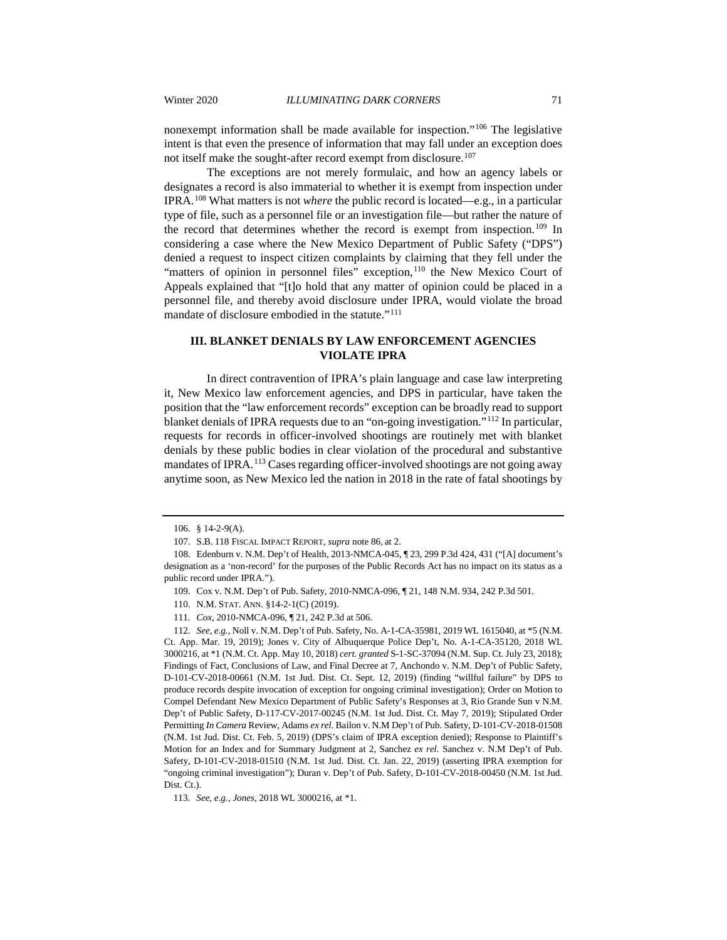nonexempt information shall be made available for inspection."[106](#page-13-0) The legislative intent is that even the presence of information that may fall under an exception does not itself make the sought-after record exempt from disclosure.<sup>[107](#page-13-1)</sup>

The exceptions are not merely formulaic, and how an agency labels or designates a record is also immaterial to whether it is exempt from inspection under IPRA.[108](#page-13-2) What matters is not *where* the public record is located—e.g., in a particular type of file, such as a personnel file or an investigation file—but rather the nature of the record that determines whether the record is exempt from inspection.[109](#page-13-3) In considering a case where the New Mexico Department of Public Safety ("DPS") denied a request to inspect citizen complaints by claiming that they fell under the "matters of opinion in personnel files" exception,<sup>[110](#page-13-4)</sup> the New Mexico Court of Appeals explained that "[t]o hold that any matter of opinion could be placed in a personnel file, and thereby avoid disclosure under IPRA, would violate the broad mandate of disclosure embodied in the statute."<sup>[111](#page-13-5)</sup>

# **III. BLANKET DENIALS BY LAW ENFORCEMENT AGENCIES VIOLATE IPRA**

In direct contravention of IPRA's plain language and case law interpreting it, New Mexico law enforcement agencies, and DPS in particular, have taken the position that the "law enforcement records" exception can be broadly read to support blanket denials of IPRA requests due to an "on-going investigation."[112](#page-13-6) In particular, requests for records in officer-involved shootings are routinely met with blanket denials by these public bodies in clear violation of the procedural and substantive mandates of IPRA.<sup>[113](#page-13-7)</sup> Cases regarding officer-involved shootings are not going away anytime soon, as New Mexico led the nation in 2018 in the rate of fatal shootings by

<sup>106.</sup> § 14-2-9(A).

<sup>107.</sup> S.B. 118 FISCAL IMPACT REPORT, *supra* note 86, at 2.

<span id="page-13-3"></span><span id="page-13-2"></span><span id="page-13-1"></span><span id="page-13-0"></span><sup>108.</sup> Edenburn v. N.M. Dep't of Health, 2013-NMCA-045, ¶ 23, 299 P.3d 424, 431 ("[A] document's designation as a 'non-record' for the purposes of the Public Records Act has no impact on its status as a public record under IPRA.").

<sup>109.</sup> Cox v. N.M. Dep't of Pub. Safety, 2010-NMCA-096, ¶ 21, 148 N.M. 934, 242 P.3d 501.

<sup>110.</sup> N.M. STAT. ANN. §14-2-1(C) (2019).

<sup>111</sup>*. Cox*, 2010-NMCA-096, ¶ 21, 242 P.3d at 506.

<span id="page-13-6"></span><span id="page-13-5"></span><span id="page-13-4"></span><sup>112</sup>*. See, e.g.*, Noll v. N.M. Dep't of Pub. Safety, No. A-1-CA-35981, 2019 WL 1615040, at \*5 (N.M. Ct. App. Mar. 19, 2019); Jones v. City of Albuquerque Police Dep't, No. A-1-CA-35120, 2018 WL 3000216, at \*1 (N.M. Ct. App. May 10, 2018) *cert. granted* S-1-SC-37094 (N.M. Sup. Ct. July 23, 2018); Findings of Fact, Conclusions of Law, and Final Decree at 7, Anchondo v. N.M. Dep't of Public Safety, D-101-CV-2018-00661 (N.M. 1st Jud. Dist. Ct. Sept. 12, 2019) (finding "willful failure" by DPS to produce records despite invocation of exception for ongoing criminal investigation); Order on Motion to Compel Defendant New Mexico Department of Public Safety's Responses at 3, Rio Grande Sun v N.M. Dep't of Public Safety, D-117-CV-2017-00245 (N.M. 1st Jud. Dist. Ct. May 7, 2019); Stipulated Order Permitting *In Camera* Review, Adams *ex rel.* Bailon v. N.M Dep't of Pub. Safety, D-101-CV-2018-01508 (N.M. 1st Jud. Dist. Ct. Feb. 5, 2019) (DPS's claim of IPRA exception denied); Response to Plaintiff's Motion for an Index and for Summary Judgment at 2, Sanchez *ex rel.* Sanchez v. N.M Dep't of Pub. Safety, D-101-CV-2018-01510 (N.M. 1st Jud. Dist. Ct. Jan. 22, 2019) (asserting IPRA exemption for "ongoing criminal investigation"); Duran v. Dep't of Pub. Safety, D-101-CV-2018-00450 (N.M. 1st Jud. Dist. Ct.).

<span id="page-13-7"></span><sup>113</sup>*. See, e.g.*, *Jones*, 2018 WL 3000216, at \*1.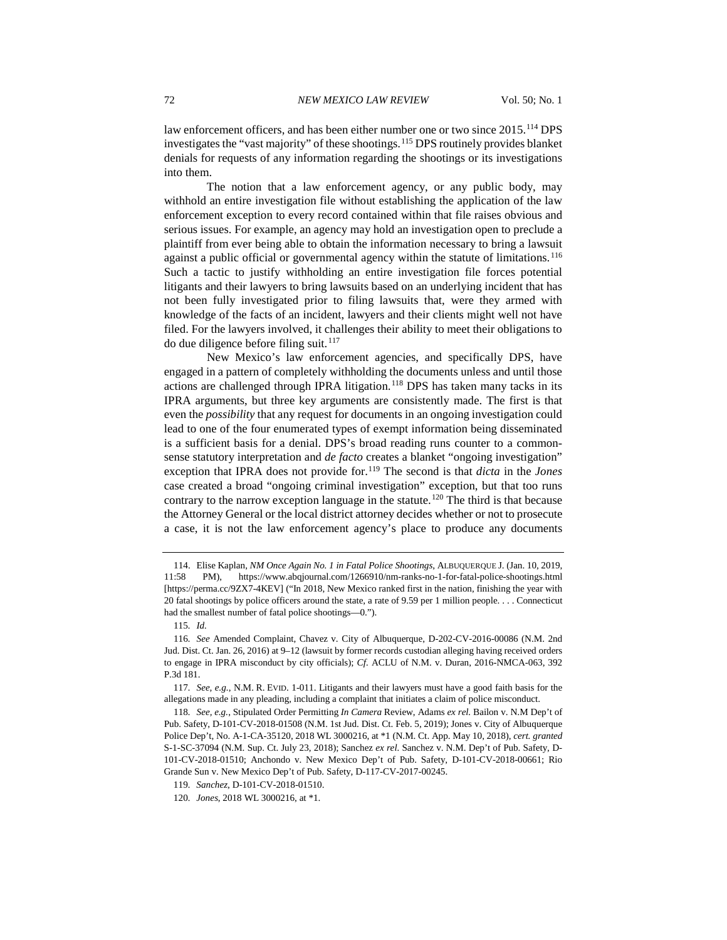law enforcement officers, and has been either number one or two since 2015.<sup>[114](#page-14-0)</sup> DPS investigates the "vast majority" of these shootings.[115](#page-14-1) DPS routinely provides blanket denials for requests of any information regarding the shootings or its investigations into them.

The notion that a law enforcement agency, or any public body, may withhold an entire investigation file without establishing the application of the law enforcement exception to every record contained within that file raises obvious and serious issues. For example, an agency may hold an investigation open to preclude a plaintiff from ever being able to obtain the information necessary to bring a lawsuit against a public official or governmental agency within the statute of limitations.<sup>[116](#page-14-2)</sup> Such a tactic to justify withholding an entire investigation file forces potential litigants and their lawyers to bring lawsuits based on an underlying incident that has not been fully investigated prior to filing lawsuits that, were they armed with knowledge of the facts of an incident, lawyers and their clients might well not have filed. For the lawyers involved, it challenges their ability to meet their obligations to do due diligence before filing suit.<sup>[117](#page-14-3)</sup>

New Mexico's law enforcement agencies, and specifically DPS, have engaged in a pattern of completely withholding the documents unless and until those actions are challenged through IPRA litigation.<sup>[118](#page-14-4)</sup> DPS has taken many tacks in its IPRA arguments, but three key arguments are consistently made. The first is that even the *possibility* that any request for documents in an ongoing investigation could lead to one of the four enumerated types of exempt information being disseminated is a sufficient basis for a denial. DPS's broad reading runs counter to a commonsense statutory interpretation and *de facto* creates a blanket "ongoing investigation" exception that IPRA does not provide for[.119](#page-14-5) The second is that *dicta* in the *Jones* case created a broad "ongoing criminal investigation" exception, but that too runs contrary to the narrow exception language in the statute.<sup>[120](#page-14-6)</sup> The third is that because the Attorney General or the local district attorney decides whether or not to prosecute a case, it is not the law enforcement agency's place to produce any documents

<span id="page-14-0"></span><sup>114.</sup> Elise Kaplan, *NM Once Again No. 1 in Fatal Police Shootings*, ALBUQUERQUE J. (Jan. 10, 2019, 11:58 PM), https://www.abqjournal.com/1266910/nm-ranks-no-1-for-fatal-police-shootings.html [https://perma.cc/9ZX7-4KEV] ("In 2018, New Mexico ranked first in the nation, finishing the year with 20 fatal shootings by police officers around the state, a rate of 9.59 per 1 million people. . . . Connecticut had the smallest number of fatal police shootings—0.").

<sup>115</sup>*. Id.*

<span id="page-14-2"></span><span id="page-14-1"></span><sup>116</sup>*. See* Amended Complaint, Chavez v. City of Albuquerque, D-202-CV-2016-00086 (N.M. 2nd Jud. Dist. Ct. Jan. 26, 2016) at 9–12 (lawsuit by former records custodian alleging having received orders to engage in IPRA misconduct by city officials); *Cf.* ACLU of N.M. v. Duran, 2016-NMCA-063, 392 P.3d 181.

<span id="page-14-3"></span><sup>117</sup>*. See, e.g.*, N.M. R. EVID. 1-011. Litigants and their lawyers must have a good faith basis for the allegations made in any pleading, including a complaint that initiates a claim of police misconduct.

<span id="page-14-4"></span><sup>118</sup>*. See, e.g.*, Stipulated Order Permitting *In Camera* Review, Adams *ex rel.* Bailon v. N.M Dep't of Pub. Safety, D-101-CV-2018-01508 (N.M. 1st Jud. Dist. Ct. Feb. 5, 2019); Jones v. City of Albuquerque Police Dep't, No. A-1-CA-35120, 2018 WL 3000216, at \*1 (N.M. Ct. App. May 10, 2018), *cert. granted* S-1-SC-37094 (N.M. Sup. Ct. July 23, 2018); Sanchez *ex rel.* Sanchez v. N.M. Dep't of Pub. Safety, D-101-CV-2018-01510; Anchondo v. New Mexico Dep't of Pub. Safety, D-101-CV-2018-00661; Rio Grande Sun v. New Mexico Dep't of Pub. Safety, D-117-CV-2017-00245.

<span id="page-14-5"></span><sup>119</sup>*. Sanchez*, D-101-CV-2018-01510.

<span id="page-14-6"></span><sup>120</sup>*. Jones*, 2018 WL 3000216, at \*1.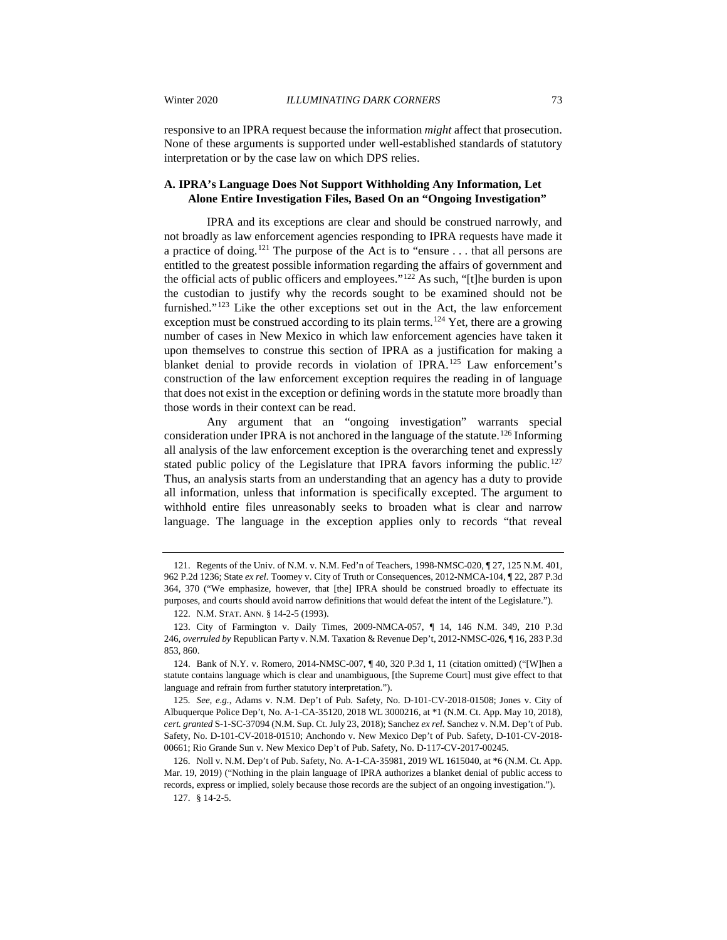responsive to an IPRA request because the information *might* affect that prosecution. None of these arguments is supported under well-established standards of statutory interpretation or by the case law on which DPS relies.

# **A. IPRA's Language Does Not Support Withholding Any Information, Let Alone Entire Investigation Files, Based On an "Ongoing Investigation"**

IPRA and its exceptions are clear and should be construed narrowly, and not broadly as law enforcement agencies responding to IPRA requests have made it a practice of doing.[121](#page-15-0) The purpose of the Act is to "ensure . . . that all persons are entitled to the greatest possible information regarding the affairs of government and the official acts of public officers and employees."[122](#page-15-1) As such, "[t]he burden is upon the custodian to justify why the records sought to be examined should not be furnished."[123](#page-15-2) Like the other exceptions set out in the Act, the law enforcement exception must be construed according to its plain terms.<sup>[124](#page-15-3)</sup> Yet, there are a growing number of cases in New Mexico in which law enforcement agencies have taken it upon themselves to construe this section of IPRA as a justification for making a blanket denial to provide records in violation of IPRA.<sup>[125](#page-15-4)</sup> Law enforcement's construction of the law enforcement exception requires the reading in of language that does not exist in the exception or defining words in the statute more broadly than those words in their context can be read.

Any argument that an "ongoing investigation" warrants special consideration under IPRA is not anchored in the language of the statute.[126](#page-15-5) Informing all analysis of the law enforcement exception is the overarching tenet and expressly stated public policy of the Legislature that IPRA favors informing the public.<sup>[127](#page-15-6)</sup> Thus, an analysis starts from an understanding that an agency has a duty to provide all information, unless that information is specifically excepted. The argument to withhold entire files unreasonably seeks to broaden what is clear and narrow language. The language in the exception applies only to records "that reveal

<span id="page-15-0"></span><sup>121.</sup> Regents of the Univ. of N.M. v. N.M. Fed'n of Teachers, 1998-NMSC-020, ¶ 27, 125 N.M. 401, 962 P.2d 1236; State *ex rel.* Toomey v. City of Truth or Consequences, 2012-NMCA-104, ¶ 22, 287 P.3d 364, 370 ("We emphasize, however, that [the] IPRA should be construed broadly to effectuate its purposes, and courts should avoid narrow definitions that would defeat the intent of the Legislature.").

<sup>122.</sup> N.M. STAT. ANN. § 14-2-5 (1993).

<span id="page-15-2"></span><span id="page-15-1"></span><sup>123.</sup> City of Farmington v. Daily Times, 2009-NMCA-057, ¶ 14, 146 N.M. 349, 210 P.3d 246, *overruled by* Republican Party v. N.M. Taxation & Revenue Dep't, 2012-NMSC-026, ¶ 16, 283 P.3d 853, 860.

<span id="page-15-3"></span><sup>124.</sup> Bank of N.Y. v. Romero, 2014-NMSC-007, ¶ 40, 320 P.3d 1, 11 (citation omitted) ("[W]hen a statute contains language which is clear and unambiguous, [the Supreme Court] must give effect to that language and refrain from further statutory interpretation.").

<span id="page-15-4"></span><sup>125</sup>*. See, e.g.*, Adams v. N.M. Dep't of Pub. Safety, No. D-101-CV-2018-01508; Jones v. City of Albuquerque Police Dep't, No. A-1-CA-35120, 2018 WL 3000216, at \*1 (N.M. Ct. App. May 10, 2018), *cert. granted* S-1-SC-37094 (N.M. Sup. Ct. July 23, 2018); Sanchez *ex rel.* Sanchez v. N.M. Dep't of Pub. Safety, No. D-101-CV-2018-01510; Anchondo v. New Mexico Dep't of Pub. Safety, D-101-CV-2018- 00661; Rio Grande Sun v. New Mexico Dep't of Pub. Safety, No. D-117-CV-2017-00245.

<span id="page-15-6"></span><span id="page-15-5"></span><sup>126.</sup> Noll v. N.M. Dep't of Pub. Safety, No. A-1-CA-35981, 2019 WL 1615040, at \*6 (N.M. Ct. App. Mar. 19, 2019) ("Nothing in the plain language of IPRA authorizes a blanket denial of public access to records, express or implied, solely because those records are the subject of an ongoing investigation.").

<sup>127.</sup> § 14-2-5.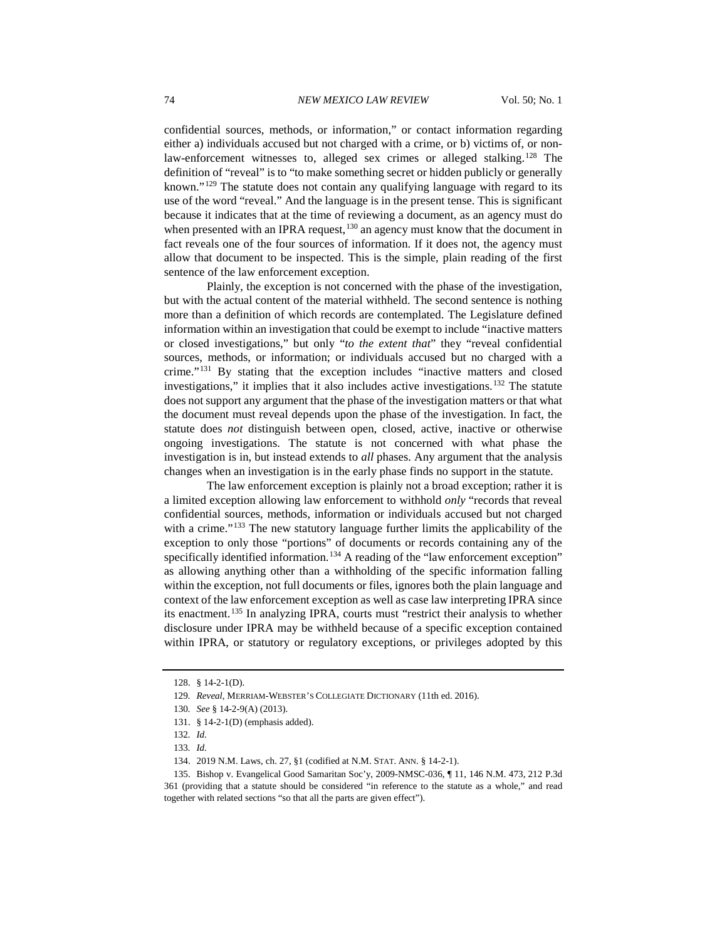confidential sources, methods, or information," or contact information regarding either a) individuals accused but not charged with a crime, or b) victims of, or non-law-enforcement witnesses to, alleged sex crimes or alleged stalking.<sup>[128](#page-16-0)</sup> The definition of "reveal" is to "to make something secret or hidden publicly or generally known."[129](#page-16-1) The statute does not contain any qualifying language with regard to its use of the word "reveal." And the language is in the present tense. This is significant because it indicates that at the time of reviewing a document, as an agency must do when presented with an IPRA request,<sup>[130](#page-16-2)</sup> an agency must know that the document in fact reveals one of the four sources of information. If it does not, the agency must allow that document to be inspected. This is the simple, plain reading of the first sentence of the law enforcement exception.

Plainly, the exception is not concerned with the phase of the investigation, but with the actual content of the material withheld. The second sentence is nothing more than a definition of which records are contemplated. The Legislature defined information within an investigation that could be exempt to include "inactive matters or closed investigations," but only "*to the extent that*" they "reveal confidential sources, methods, or information; or individuals accused but no charged with a crime."[131](#page-16-3) By stating that the exception includes "inactive matters and closed investigations," it implies that it also includes active investigations.<sup>[132](#page-16-4)</sup> The statute does not support any argument that the phase of the investigation matters or that what the document must reveal depends upon the phase of the investigation. In fact, the statute does *not* distinguish between open, closed, active, inactive or otherwise ongoing investigations. The statute is not concerned with what phase the investigation is in, but instead extends to *all* phases. Any argument that the analysis changes when an investigation is in the early phase finds no support in the statute.

The law enforcement exception is plainly not a broad exception; rather it is a limited exception allowing law enforcement to withhold *only* "records that reveal confidential sources, methods, information or individuals accused but not charged with a crime."<sup>[133](#page-16-5)</sup> The new statutory language further limits the applicability of the exception to only those "portions" of documents or records containing any of the specifically identified information.<sup>[134](#page-16-6)</sup> A reading of the "law enforcement exception" as allowing anything other than a withholding of the specific information falling within the exception, not full documents or files, ignores both the plain language and context of the law enforcement exception as well as case law interpreting IPRA since its enactment.[135](#page-16-7) In analyzing IPRA, courts must "restrict their analysis to whether disclosure under IPRA may be withheld because of a specific exception contained within IPRA, or statutory or regulatory exceptions, or privileges adopted by this

<span id="page-16-0"></span><sup>128.</sup> § 14-2-1(D).

<span id="page-16-1"></span><sup>129</sup>*. Reveal*, MERRIAM-WEBSTER'S COLLEGIATE DICTIONARY (11th ed. 2016).

<span id="page-16-2"></span><sup>130</sup>*. See* § 14-2-9(A) (2013).

<sup>131.</sup> § 14-2-1(D) (emphasis added).

<sup>132</sup>*. Id.*

<sup>133</sup>*. Id.*

<sup>134.</sup> 2019 N.M. Laws, ch. 27, §1 (codified at N.M. STAT. ANN. § 14-2-1).

<span id="page-16-7"></span><span id="page-16-6"></span><span id="page-16-5"></span><span id="page-16-4"></span><span id="page-16-3"></span><sup>135.</sup> Bishop v. Evangelical Good Samaritan Soc'y, 2009-NMSC-036, ¶ 11, 146 N.M. 473, 212 P.3d 361 (providing that a statute should be considered "in reference to the statute as a whole," and read together with related sections "so that all the parts are given effect").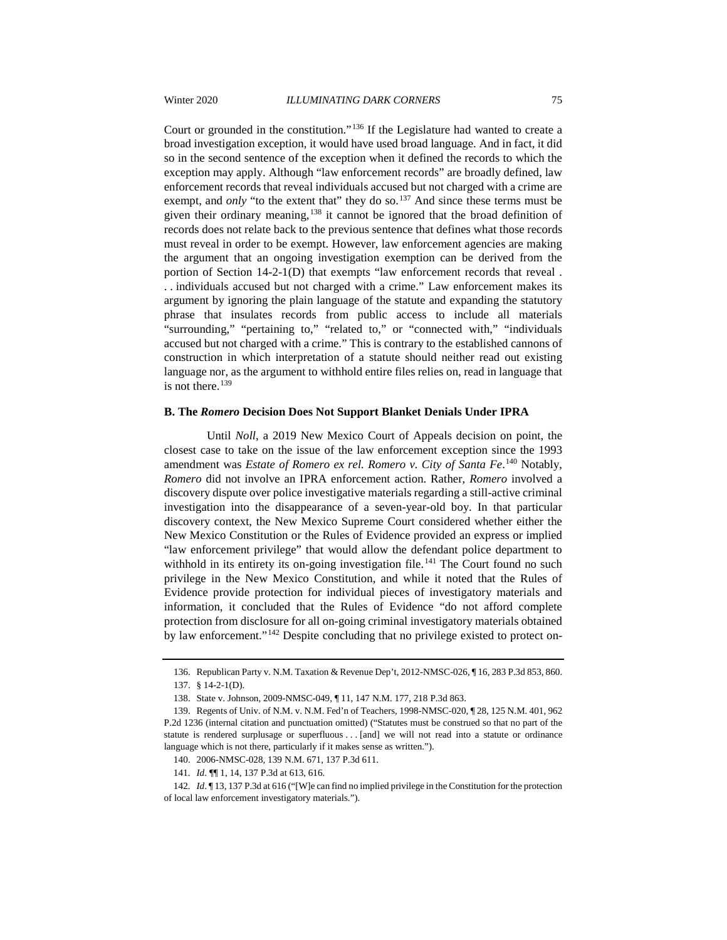Court or grounded in the constitution."[136](#page-17-0) If the Legislature had wanted to create a broad investigation exception, it would have used broad language. And in fact, it did so in the second sentence of the exception when it defined the records to which the exception may apply. Although "law enforcement records" are broadly defined, law enforcement records that reveal individuals accused but not charged with a crime are exempt, and *only* "to the extent that" they do so.<sup>[137](#page-17-1)</sup> And since these terms must be given their ordinary meaning,<sup>[138](#page-17-2)</sup> it cannot be ignored that the broad definition of records does not relate back to the previous sentence that defines what those records must reveal in order to be exempt. However, law enforcement agencies are making the argument that an ongoing investigation exemption can be derived from the portion of Section 14-2-1(D) that exempts "law enforcement records that reveal . . . individuals accused but not charged with a crime." Law enforcement makes its argument by ignoring the plain language of the statute and expanding the statutory phrase that insulates records from public access to include all materials "surrounding," "pertaining to," "related to," or "connected with," "individuals accused but not charged with a crime." This is contrary to the established cannons of construction in which interpretation of a statute should neither read out existing language nor, as the argument to withhold entire files relies on, read in language that is not there.<sup>[139](#page-17-3)</sup>

#### **B. The** *Romero* **Decision Does Not Support Blanket Denials Under IPRA**

Until *Noll*, a 2019 New Mexico Court of Appeals decision on point, the closest case to take on the issue of the law enforcement exception since the 1993 amendment was *Estate of Romero ex rel. Romero v. City of Santa Fe*.<sup>[140](#page-17-4)</sup> Notably, *Romero* did not involve an IPRA enforcement action. Rather, *Romero* involved a discovery dispute over police investigative materials regarding a still-active criminal investigation into the disappearance of a seven-year-old boy. In that particular discovery context, the New Mexico Supreme Court considered whether either the New Mexico Constitution or the Rules of Evidence provided an express or implied "law enforcement privilege" that would allow the defendant police department to withhold in its entirety its on-going investigation file.<sup>[141](#page-17-5)</sup> The Court found no such privilege in the New Mexico Constitution, and while it noted that the Rules of Evidence provide protection for individual pieces of investigatory materials and information, it concluded that the Rules of Evidence "do not afford complete protection from disclosure for all on-going criminal investigatory materials obtained by law enforcement."[142](#page-17-6) Despite concluding that no privilege existed to protect on-

<sup>136.</sup> Republican Party v. N.M. Taxation & Revenue Dep't, 2012-NMSC-026, ¶ 16, 283 P.3d 853, 860. 137. § 14-2-1(D).

<sup>138.</sup> State v. Johnson, 2009-NMSC-049, ¶ 11, 147 N.M. 177, 218 P.3d 863.

<span id="page-17-3"></span><span id="page-17-2"></span><span id="page-17-1"></span><span id="page-17-0"></span><sup>139.</sup> Regents of Univ. of N.M. v. N.M. Fed'n of Teachers, 1998-NMSC-020, ¶ 28, 125 N.M. 401, 962 P.2d 1236 (internal citation and punctuation omitted) ("Statutes must be construed so that no part of the statute is rendered surplusage or superfluous . . . [and] we will not read into a statute or ordinance language which is not there, particularly if it makes sense as written.").

<sup>140.</sup> 2006-NMSC-028, 139 N.M. 671, 137 P.3d 611.

<sup>141</sup>*. Id*. ¶¶ 1, 14, 137 P.3d at 613, 616.

<span id="page-17-6"></span><span id="page-17-5"></span><span id="page-17-4"></span><sup>142</sup>*. Id*. ¶ 13, 137 P.3d at 616 ("[W]e can find no implied privilege in the Constitution for the protection of local law enforcement investigatory materials.").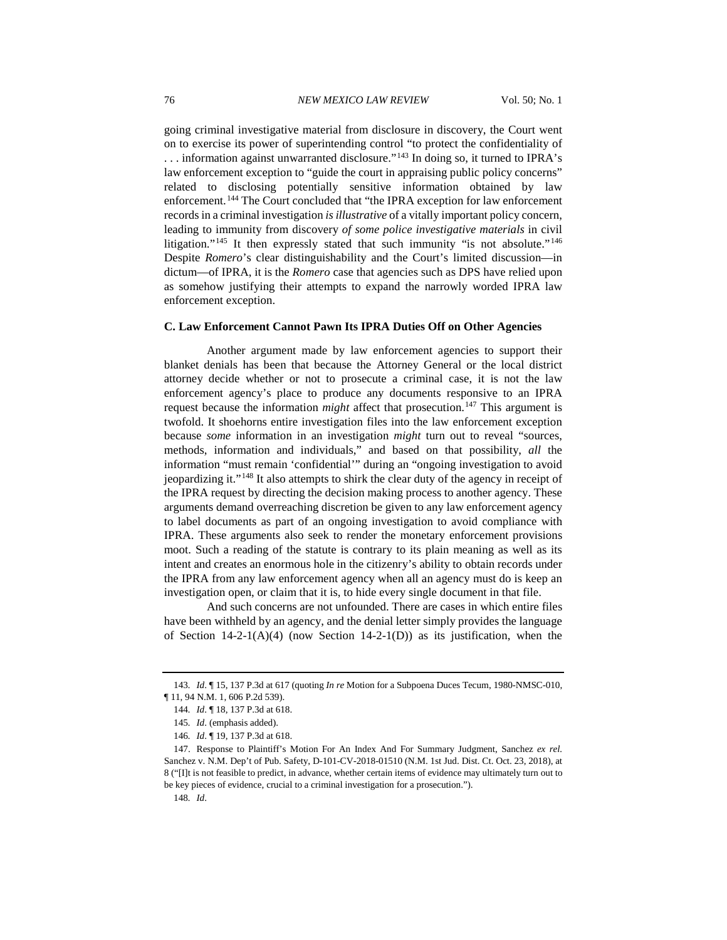going criminal investigative material from disclosure in discovery, the Court went on to exercise its power of superintending control "to protect the confidentiality of . . . information against unwarranted disclosure."[143](#page-18-0) In doing so, it turned to IPRA's law enforcement exception to "guide the court in appraising public policy concerns" related to disclosing potentially sensitive information obtained by law enforcement.<sup>[144](#page-18-1)</sup> The Court concluded that "the IPRA exception for law enforcement records in a criminal investigation *is illustrative* of a vitally important policy concern, leading to immunity from discovery *of some police investigative materials* in civil litigation."<sup>[145](#page-18-2)</sup> It then expressly stated that such immunity "is not absolute."<sup>[146](#page-18-3)</sup> Despite *Romero*'s clear distinguishability and the Court's limited discussion—in dictum—of IPRA, it is the *Romero* case that agencies such as DPS have relied upon as somehow justifying their attempts to expand the narrowly worded IPRA law enforcement exception.

# **C. Law Enforcement Cannot Pawn Its IPRA Duties Off on Other Agencies**

Another argument made by law enforcement agencies to support their blanket denials has been that because the Attorney General or the local district attorney decide whether or not to prosecute a criminal case, it is not the law enforcement agency's place to produce any documents responsive to an IPRA request because the information *might* affect that prosecution.<sup>[147](#page-18-4)</sup> This argument is twofold. It shoehorns entire investigation files into the law enforcement exception because *some* information in an investigation *might* turn out to reveal "sources, methods, information and individuals," and based on that possibility, *all* the information "must remain 'confidential'" during an "ongoing investigation to avoid jeopardizing it."[148](#page-18-5) It also attempts to shirk the clear duty of the agency in receipt of the IPRA request by directing the decision making process to another agency. These arguments demand overreaching discretion be given to any law enforcement agency to label documents as part of an ongoing investigation to avoid compliance with IPRA. These arguments also seek to render the monetary enforcement provisions moot. Such a reading of the statute is contrary to its plain meaning as well as its intent and creates an enormous hole in the citizenry's ability to obtain records under the IPRA from any law enforcement agency when all an agency must do is keep an investigation open, or claim that it is, to hide every single document in that file.

And such concerns are not unfounded. There are cases in which entire files have been withheld by an agency, and the denial letter simply provides the language of Section  $14-2-1(A)(4)$  (now Section  $14-2-1(D)$ ) as its justification, when the

<span id="page-18-1"></span><span id="page-18-0"></span><sup>143</sup>*. Id*. ¶ 15, 137 P.3d at 617 (quoting *In re* Motion for a Subpoena Duces Tecum, 1980-NMSC-010, ¶ 11, 94 N.M. 1, 606 P.2d 539).

<sup>144</sup>*. Id*. ¶ 18, 137 P.3d at 618.

<sup>145</sup>*. Id*. (emphasis added).

<sup>146</sup>*. Id*. ¶ 19, 137 P.3d at 618.

<span id="page-18-5"></span><span id="page-18-4"></span><span id="page-18-3"></span><span id="page-18-2"></span><sup>147.</sup> Response to Plaintiff's Motion For An Index And For Summary Judgment, Sanchez *ex rel.* Sanchez v. N.M. Dep't of Pub. Safety, D-101-CV-2018-01510 (N.M. 1st Jud. Dist. Ct. Oct. 23, 2018), at 8 ("[I]t is not feasible to predict, in advance, whether certain items of evidence may ultimately turn out to be key pieces of evidence, crucial to a criminal investigation for a prosecution.").

<sup>148</sup>*. Id*.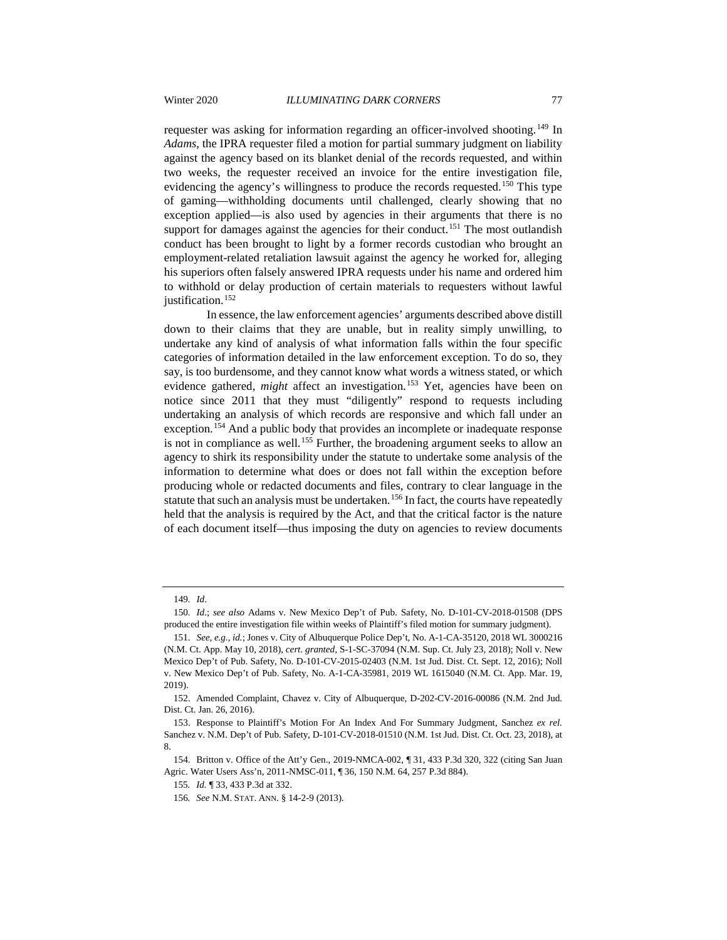requester was asking for information regarding an officer-involved shooting.<sup>[149](#page-19-0)</sup> In *Adams*, the IPRA requester filed a motion for partial summary judgment on liability against the agency based on its blanket denial of the records requested, and within two weeks, the requester received an invoice for the entire investigation file, evidencing the agency's willingness to produce the records requested.<sup>[150](#page-19-1)</sup> This type of gaming—withholding documents until challenged, clearly showing that no exception applied—is also used by agencies in their arguments that there is no support for damages against the agencies for their conduct.<sup>[151](#page-19-2)</sup> The most outlandish conduct has been brought to light by a former records custodian who brought an employment-related retaliation lawsuit against the agency he worked for, alleging his superiors often falsely answered IPRA requests under his name and ordered him to withhold or delay production of certain materials to requesters without lawful justification.<sup>[152](#page-19-3)</sup>

In essence, the law enforcement agencies' arguments described above distill down to their claims that they are unable, but in reality simply unwilling, to undertake any kind of analysis of what information falls within the four specific categories of information detailed in the law enforcement exception. To do so, they say, is too burdensome, and they cannot know what words a witness stated, or which evidence gathered, *might* affect an investigation.<sup>[153](#page-19-4)</sup> Yet, agencies have been on notice since 2011 that they must "diligently" respond to requests including undertaking an analysis of which records are responsive and which fall under an exception.[154](#page-19-5) And a public body that provides an incomplete or inadequate response is not in compliance as well.<sup>[155](#page-19-6)</sup> Further, the broadening argument seeks to allow an agency to shirk its responsibility under the statute to undertake some analysis of the information to determine what does or does not fall within the exception before producing whole or redacted documents and files, contrary to clear language in the statute that such an analysis must be undertaken.<sup>[156](#page-19-7)</sup> In fact, the courts have repeatedly held that the analysis is required by the Act, and that the critical factor is the nature of each document itself—thus imposing the duty on agencies to review documents

<sup>149</sup>*. Id*.

<span id="page-19-1"></span><span id="page-19-0"></span><sup>150</sup>*. Id*.; *see also* Adams v. New Mexico Dep't of Pub. Safety, No. D-101-CV-2018-01508 (DPS produced the entire investigation file within weeks of Plaintiff's filed motion for summary judgment).

<span id="page-19-2"></span><sup>151</sup>*. See, e.g.*, *id.*; Jones v. City of Albuquerque Police Dep't, No. A-1-CA-35120, 2018 WL 3000216 (N.M. Ct. App. May 10, 2018), *cert. granted*, S-1-SC-37094 (N.M. Sup. Ct. July 23, 2018); Noll v. New Mexico Dep't of Pub. Safety, No. D-101-CV-2015-02403 (N.M. 1st Jud. Dist. Ct. Sept. 12, 2016); Noll v. New Mexico Dep't of Pub. Safety, No. A-1-CA-35981, 2019 WL 1615040 (N.M. Ct. App. Mar. 19, 2019).

<span id="page-19-3"></span><sup>152.</sup> Amended Complaint, Chavez v. City of Albuquerque, D-202-CV-2016-00086 (N.M. 2nd Jud. Dist. Ct. Jan. 26, 2016).

<span id="page-19-4"></span><sup>153.</sup> Response to Plaintiff's Motion For An Index And For Summary Judgment, Sanchez *ex rel.* Sanchez v. N.M. Dep't of Pub. Safety, D-101-CV-2018-01510 (N.M. 1st Jud. Dist. Ct. Oct. 23, 2018), at 8.

<span id="page-19-7"></span><span id="page-19-6"></span><span id="page-19-5"></span><sup>154.</sup> Britton v. Office of the Att'y Gen., 2019-NMCA-002, ¶ 31, 433 P.3d 320, 322 (citing San Juan Agric. Water Users Ass'n, 2011-NMSC-011, ¶ 36, 150 N.M. 64, 257 P.3d 884).

<sup>155</sup>*. Id.* ¶ 33, 433 P.3d at 332.

<sup>156</sup>*. See* N.M. STAT. ANN. § 14-2-9 (2013).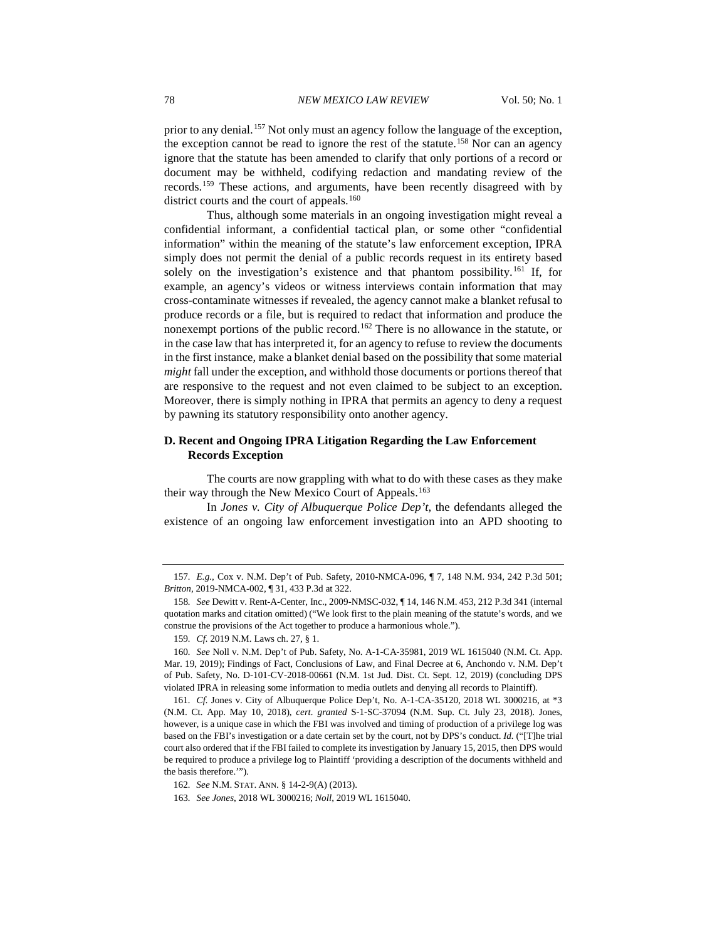prior to any denial.<sup>[157](#page-20-0)</sup> Not only must an agency follow the language of the exception, the exception cannot be read to ignore the rest of the statute.<sup>[158](#page-20-1)</sup> Nor can an agency ignore that the statute has been amended to clarify that only portions of a record or document may be withheld, codifying redaction and mandating review of the records.[159](#page-20-2) These actions, and arguments, have been recently disagreed with by district courts and the court of appeals.<sup>[160](#page-20-3)</sup>

Thus, although some materials in an ongoing investigation might reveal a confidential informant, a confidential tactical plan, or some other "confidential information" within the meaning of the statute's law enforcement exception, IPRA simply does not permit the denial of a public records request in its entirety based solely on the investigation's existence and that phantom possibility.<sup>[161](#page-20-4)</sup> If, for example, an agency's videos or witness interviews contain information that may cross-contaminate witnesses if revealed, the agency cannot make a blanket refusal to produce records or a file, but is required to redact that information and produce the nonexempt portions of the public record.<sup>[162](#page-20-5)</sup> There is no allowance in the statute, or in the case law that has interpreted it, for an agency to refuse to review the documents in the first instance, make a blanket denial based on the possibility that some material *might* fall under the exception, and withhold those documents or portions thereof that are responsive to the request and not even claimed to be subject to an exception. Moreover, there is simply nothing in IPRA that permits an agency to deny a request by pawning its statutory responsibility onto another agency.

# **D. Recent and Ongoing IPRA Litigation Regarding the Law Enforcement Records Exception**

The courts are now grappling with what to do with these cases as they make their way through the New Mexico Court of Appeals.<sup>[163](#page-20-6)</sup>

In *Jones v. City of Albuquerque Police Dep't*, the defendants alleged the existence of an ongoing law enforcement investigation into an APD shooting to

<span id="page-20-0"></span><sup>157</sup>*. E.g.*, Cox v. N.M. Dep't of Pub. Safety, 2010-NMCA-096, ¶ 7, 148 N.M. 934, 242 P.3d 501; *Britton*, 2019-NMCA-002, ¶ 31, 433 P.3d at 322.

<span id="page-20-1"></span><sup>158</sup>*. See* Dewitt v. Rent-A-Center, Inc., 2009-NMSC-032, ¶ 14, 146 N.M. 453, 212 P.3d 341 (internal quotation marks and citation omitted) ("We look first to the plain meaning of the statute's words, and we construe the provisions of the Act together to produce a harmonious whole.").

<sup>159</sup>*. Cf.* 2019 N.M. Laws ch. 27, § 1.

<span id="page-20-3"></span><span id="page-20-2"></span><sup>160</sup>*. See* Noll v. N.M. Dep't of Pub. Safety, No. A-1-CA-35981, 2019 WL 1615040 (N.M. Ct. App. Mar. 19, 2019); Findings of Fact, Conclusions of Law, and Final Decree at 6, Anchondo v. N.M. Dep't of Pub. Safety, No. D-101-CV-2018-00661 (N.M. 1st Jud. Dist. Ct. Sept. 12, 2019) (concluding DPS violated IPRA in releasing some information to media outlets and denying all records to Plaintiff).

<span id="page-20-4"></span><sup>161</sup>*. Cf.* Jones v. City of Albuquerque Police Dep't, No. A-1-CA-35120, 2018 WL 3000216, at \*3 (N.M. Ct. App. May 10, 2018), *cert. granted* S-1-SC-37094 (N.M. Sup. Ct. July 23, 2018). Jones, however, is a unique case in which the FBI was involved and timing of production of a privilege log was based on the FBI's investigation or a date certain set by the court, not by DPS's conduct. *Id.* ("[T]he trial court also ordered that if the FBI failed to complete its investigation by January 15, 2015, then DPS would be required to produce a privilege log to Plaintiff 'providing a description of the documents withheld and the basis therefore.'").

<span id="page-20-5"></span><sup>162</sup>*. See* N.M. STAT. ANN. § 14-2-9(A) (2013).

<span id="page-20-6"></span><sup>163</sup>*. See Jones*, 2018 WL 3000216; *Noll*, 2019 WL 1615040.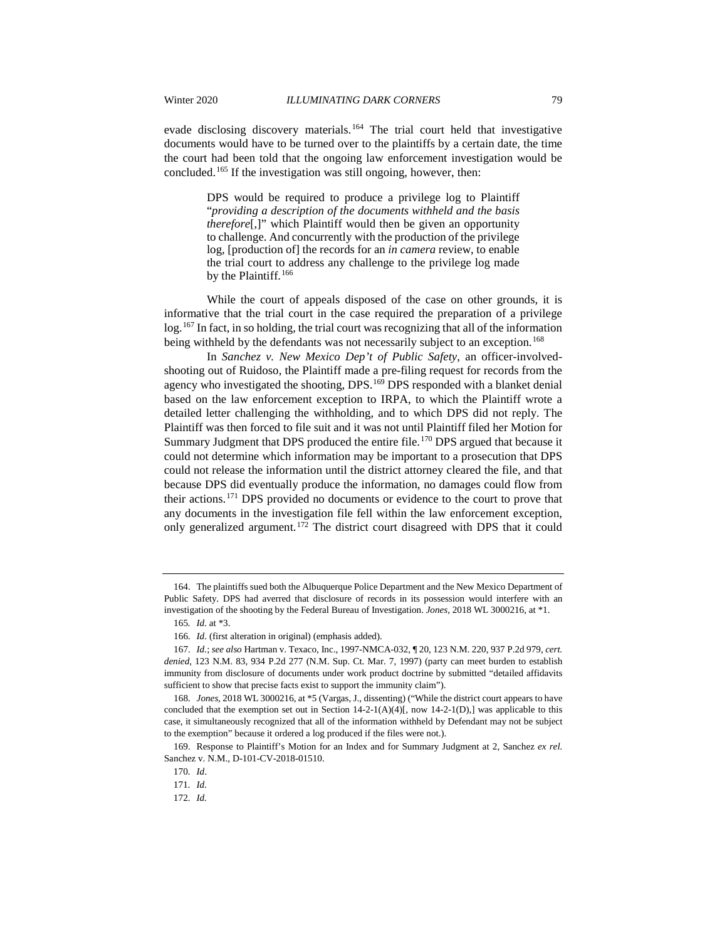evade disclosing discovery materials.<sup>[164](#page-21-0)</sup> The trial court held that investigative documents would have to be turned over to the plaintiffs by a certain date, the time the court had been told that the ongoing law enforcement investigation would be concluded.[165](#page-21-1) If the investigation was still ongoing, however, then:

> DPS would be required to produce a privilege log to Plaintiff "*providing a description of the documents withheld and the basis therefore*[,]" which Plaintiff would then be given an opportunity to challenge. And concurrently with the production of the privilege log, [production of] the records for an *in camera* review, to enable the trial court to address any challenge to the privilege log made by the Plaintiff.<sup>[166](#page-21-2)</sup>

While the court of appeals disposed of the case on other grounds, it is informative that the trial court in the case required the preparation of a privilege log.[167](#page-21-3) In fact, in so holding, the trial court was recognizing that all of the information being withheld by the defendants was not necessarily subject to an exception.<sup>[168](#page-21-4)</sup>

In *Sanchez v. New Mexico Dep't of Public Safety*, an officer-involvedshooting out of Ruidoso, the Plaintiff made a pre-filing request for records from the agency who investigated the shooting, DPS.<sup>[169](#page-21-5)</sup> DPS responded with a blanket denial based on the law enforcement exception to IRPA, to which the Plaintiff wrote a detailed letter challenging the withholding, and to which DPS did not reply. The Plaintiff was then forced to file suit and it was not until Plaintiff filed her Motion for Summary Judgment that DPS produced the entire file.<sup>[170](#page-21-6)</sup> DPS argued that because it could not determine which information may be important to a prosecution that DPS could not release the information until the district attorney cleared the file, and that because DPS did eventually produce the information, no damages could flow from their actions.[171](#page-21-7) DPS provided no documents or evidence to the court to prove that any documents in the investigation file fell within the law enforcement exception, only generalized argument.<sup>[172](#page-21-8)</sup> The district court disagreed with DPS that it could

<span id="page-21-0"></span><sup>164.</sup> The plaintiffs sued both the Albuquerque Police Department and the New Mexico Department of Public Safety. DPS had averred that disclosure of records in its possession would interfere with an investigation of the shooting by the Federal Bureau of Investigation. *Jones*, 2018 WL 3000216, at \*1.

<sup>165</sup>*. Id.* at \*3.

<sup>166</sup>*. Id*. (first alteration in original) (emphasis added).

<span id="page-21-3"></span><span id="page-21-2"></span><span id="page-21-1"></span><sup>167</sup>*. Id.*; *see also* Hartman v. Texaco, Inc., 1997-NMCA-032, ¶ 20, 123 N.M. 220, 937 P.2d 979, *cert. denied*, 123 N.M. 83, 934 P.2d 277 (N.M. Sup. Ct. Mar. 7, 1997) (party can meet burden to establish immunity from disclosure of documents under work product doctrine by submitted "detailed affidavits sufficient to show that precise facts exist to support the immunity claim").

<span id="page-21-4"></span><sup>168</sup>*. Jones*, 2018 WL 3000216, at \*5 (Vargas, J., dissenting) ("While the district court appears to have concluded that the exemption set out in Section  $14-2-1(A)(4)[$ , now  $14-2-1(D)$ , was applicable to this case, it simultaneously recognized that all of the information withheld by Defendant may not be subject to the exemption" because it ordered a log produced if the files were not.).

<span id="page-21-8"></span><span id="page-21-7"></span><span id="page-21-6"></span><span id="page-21-5"></span><sup>169.</sup> Response to Plaintiff's Motion for an Index and for Summary Judgment at 2, Sanchez *ex rel.*  Sanchez v. N.M., D-101-CV-2018-01510.

<sup>170</sup>*. Id*.

<sup>171</sup>*. Id.*

<sup>172</sup>*. Id.*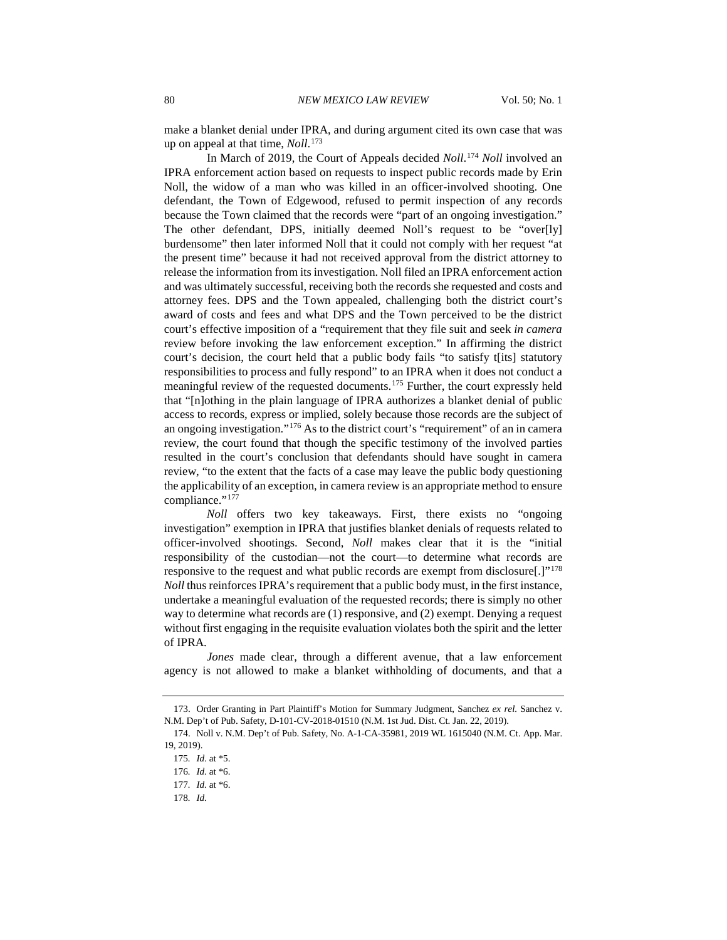make a blanket denial under IPRA, and during argument cited its own case that was up on appeal at that time, *Noll*. [173](#page-22-0)

In March of 2019, the Court of Appeals decided *Noll*. [174](#page-22-1) *Noll* involved an IPRA enforcement action based on requests to inspect public records made by Erin Noll, the widow of a man who was killed in an officer-involved shooting. One defendant, the Town of Edgewood, refused to permit inspection of any records because the Town claimed that the records were "part of an ongoing investigation." The other defendant, DPS, initially deemed Noll's request to be "over[ly] burdensome" then later informed Noll that it could not comply with her request "at the present time" because it had not received approval from the district attorney to release the information from its investigation. Noll filed an IPRA enforcement action and was ultimately successful, receiving both the records she requested and costs and attorney fees. DPS and the Town appealed, challenging both the district court's award of costs and fees and what DPS and the Town perceived to be the district court's effective imposition of a "requirement that they file suit and seek *in camera* review before invoking the law enforcement exception." In affirming the district court's decision, the court held that a public body fails "to satisfy t[its] statutory responsibilities to process and fully respond" to an IPRA when it does not conduct a meaningful review of the requested documents.[175](#page-22-2) Further, the court expressly held that "[n]othing in the plain language of IPRA authorizes a blanket denial of public access to records, express or implied, solely because those records are the subject of an ongoing investigation."[176](#page-22-3) As to the district court's "requirement" of an in camera review, the court found that though the specific testimony of the involved parties resulted in the court's conclusion that defendants should have sought in camera review, "to the extent that the facts of a case may leave the public body questioning the applicability of an exception, in camera review is an appropriate method to ensure compliance."<sup>[177](#page-22-4)</sup>

*Noll* offers two key takeaways. First, there exists no "ongoing investigation" exemption in IPRA that justifies blanket denials of requests related to officer-involved shootings. Second, *Noll* makes clear that it is the "initial responsibility of the custodian—not the court—to determine what records are responsive to the request and what public records are exempt from disclosure[.]"[178](#page-22-5) *Noll* thus reinforces IPRA's requirement that a public body must, in the first instance, undertake a meaningful evaluation of the requested records; there is simply no other way to determine what records are (1) responsive, and (2) exempt. Denying a request without first engaging in the requisite evaluation violates both the spirit and the letter of IPRA.

*Jones* made clear, through a different avenue, that a law enforcement agency is not allowed to make a blanket withholding of documents, and that a

<span id="page-22-1"></span><span id="page-22-0"></span><sup>173.</sup> Order Granting in Part Plaintiff's Motion for Summary Judgment, Sanchez *ex rel.* Sanchez v. N.M. Dep't of Pub. Safety, D-101-CV-2018-01510 (N.M. 1st Jud. Dist. Ct. Jan. 22, 2019).

<span id="page-22-3"></span><span id="page-22-2"></span><sup>174.</sup> Noll v. N.M. Dep't of Pub. Safety, No. A-1-CA-35981, 2019 WL 1615040 (N.M. Ct. App. Mar. 19, 2019).

<sup>175</sup>*. Id*. at \*5.

<sup>176</sup>*. Id.* at \*6.

<span id="page-22-4"></span><sup>177</sup>*. Id.* at \*6.

<span id="page-22-5"></span><sup>178</sup>*. Id.*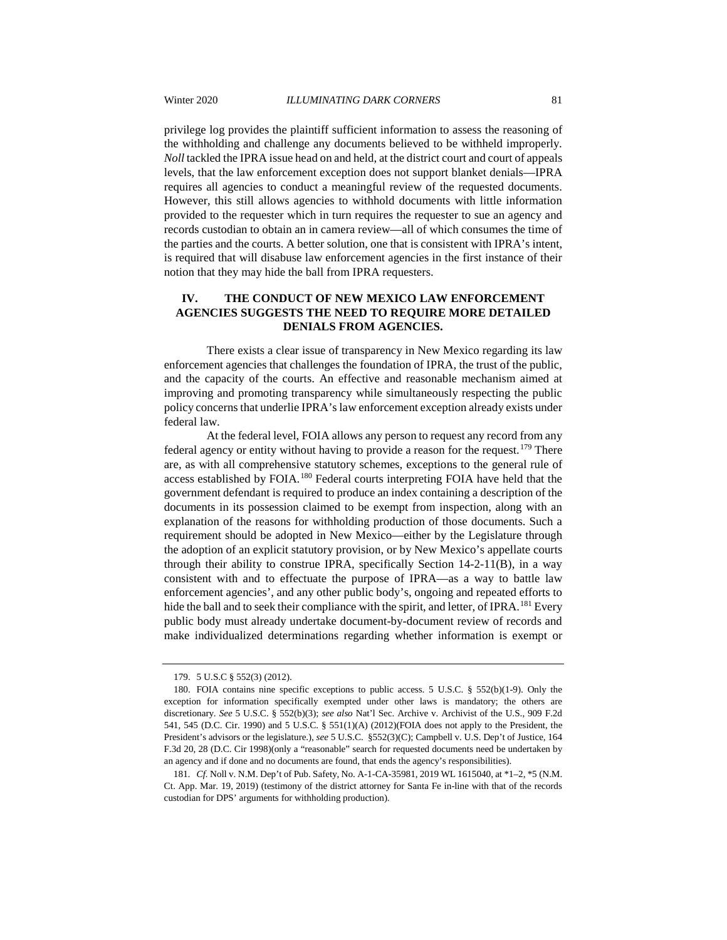privilege log provides the plaintiff sufficient information to assess the reasoning of the withholding and challenge any documents believed to be withheld improperly. *Noll* tackled the IPRA issue head on and held, at the district court and court of appeals levels, that the law enforcement exception does not support blanket denials—IPRA requires all agencies to conduct a meaningful review of the requested documents. However, this still allows agencies to withhold documents with little information provided to the requester which in turn requires the requester to sue an agency and records custodian to obtain an in camera review—all of which consumes the time of the parties and the courts. A better solution, one that is consistent with IPRA's intent, is required that will disabuse law enforcement agencies in the first instance of their notion that they may hide the ball from IPRA requesters.

# **IV. THE CONDUCT OF NEW MEXICO LAW ENFORCEMENT AGENCIES SUGGESTS THE NEED TO REQUIRE MORE DETAILED DENIALS FROM AGENCIES.**

There exists a clear issue of transparency in New Mexico regarding its law enforcement agencies that challenges the foundation of IPRA, the trust of the public, and the capacity of the courts. An effective and reasonable mechanism aimed at improving and promoting transparency while simultaneously respecting the public policy concerns that underlie IPRA's law enforcement exception already exists under federal law.

At the federal level, FOIA allows any person to request any record from any federal agency or entity without having to provide a reason for the request.<sup>[179](#page-23-0)</sup> There are, as with all comprehensive statutory schemes, exceptions to the general rule of access established by FOIA.[180](#page-23-1) Federal courts interpreting FOIA have held that the government defendant is required to produce an index containing a description of the documents in its possession claimed to be exempt from inspection, along with an explanation of the reasons for withholding production of those documents. Such a requirement should be adopted in New Mexico—either by the Legislature through the adoption of an explicit statutory provision, or by New Mexico's appellate courts through their ability to construe IPRA, specifically Section  $14-2-11(B)$ , in a way consistent with and to effectuate the purpose of IPRA—as a way to battle law enforcement agencies', and any other public body's, ongoing and repeated efforts to hide the ball and to seek their compliance with the spirit, and letter, of IPRA.<sup>[181](#page-23-2)</sup> Every public body must already undertake document-by-document review of records and make individualized determinations regarding whether information is exempt or

<sup>179.</sup> 5 U.S.C § 552(3) (2012).

<span id="page-23-1"></span><span id="page-23-0"></span><sup>180.</sup> FOIA contains nine specific exceptions to public access. 5 U.S.C. § 552(b)(1-9). Only the exception for information specifically exempted under other laws is mandatory; the others are discretionary. *See* 5 U.S.C. § 552(b)(3); *see also* Nat'l Sec. Archive v. Archivist of the U.S., 909 F.2d 541, 545 (D.C. Cir. 1990) and 5 U.S.C. § 551(1)(A) (2012)(FOIA does not apply to the President, the President's advisors or the legislature.), *see* 5 U.S.C. §552(3)(C); Campbell v. U.S. Dep't of Justice, 164 F.3d 20, 28 (D.C. Cir 1998)(only a "reasonable" search for requested documents need be undertaken by an agency and if done and no documents are found, that ends the agency's responsibilities).

<span id="page-23-2"></span><sup>181</sup>*. Cf.* Noll v. N.M. Dep't of Pub. Safety, No. A-1-CA-35981, 2019 WL 1615040, at \*1–2, \*5 (N.M. Ct. App. Mar. 19, 2019) (testimony of the district attorney for Santa Fe in-line with that of the records custodian for DPS' arguments for withholding production).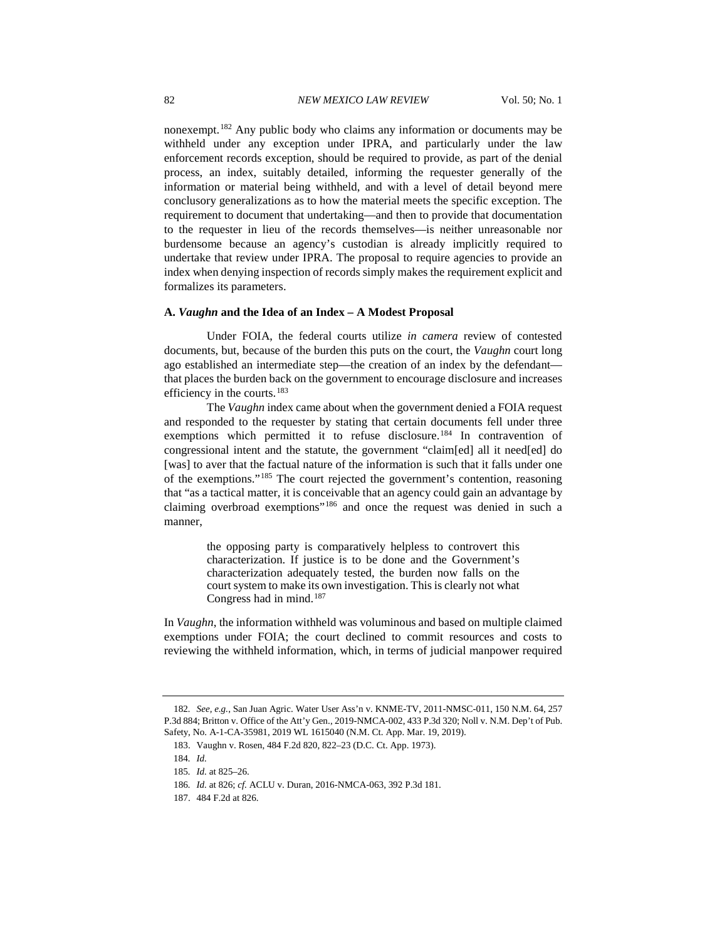nonexempt.[182](#page-24-0) Any public body who claims any information or documents may be withheld under any exception under IPRA, and particularly under the law enforcement records exception, should be required to provide, as part of the denial process, an index, suitably detailed, informing the requester generally of the information or material being withheld, and with a level of detail beyond mere conclusory generalizations as to how the material meets the specific exception. The requirement to document that undertaking—and then to provide that documentation to the requester in lieu of the records themselves—is neither unreasonable nor burdensome because an agency's custodian is already implicitly required to undertake that review under IPRA. The proposal to require agencies to provide an index when denying inspection of records simply makes the requirement explicit and formalizes its parameters.

# **A.** *Vaughn* **and the Idea of an Index – A Modest Proposal**

Under FOIA, the federal courts utilize *in camera* review of contested documents, but, because of the burden this puts on the court, the *Vaughn* court long ago established an intermediate step—the creation of an index by the defendant that places the burden back on the government to encourage disclosure and increases efficiency in the courts.[183](#page-24-1)

The *Vaughn* index came about when the government denied a FOIA request and responded to the requester by stating that certain documents fell under three exemptions which permitted it to refuse disclosure.<sup>[184](#page-24-2)</sup> In contravention of congressional intent and the statute, the government "claim[ed] all it need[ed] do [was] to aver that the factual nature of the information is such that it falls under one of the exemptions."[185](#page-24-3) The court rejected the government's contention, reasoning that "as a tactical matter, it is conceivable that an agency could gain an advantage by claiming overbroad exemptions"[186](#page-24-4) and once the request was denied in such a manner,

> the opposing party is comparatively helpless to controvert this characterization. If justice is to be done and the Government's characterization adequately tested, the burden now falls on the court system to make its own investigation. This is clearly not what Congress had in mind.[187](#page-24-5)

In *Vaughn*, the information withheld was voluminous and based on multiple claimed exemptions under FOIA; the court declined to commit resources and costs to reviewing the withheld information, which, in terms of judicial manpower required

<span id="page-24-2"></span><span id="page-24-1"></span><span id="page-24-0"></span><sup>182</sup>*. See, e.g.*, San Juan Agric. Water User Ass'n v. KNME-TV, 2011-NMSC-011, 150 N.M. 64, 257 P.3d 884; Britton v. Office of the Att'y Gen., 2019-NMCA-002, 433 P.3d 320; Noll v. N.M. Dep't of Pub. Safety, No. A-1-CA-35981, 2019 WL 1615040 (N.M. Ct. App. Mar. 19, 2019).

<sup>183.</sup> Vaughn v. Rosen, 484 F.2d 820, 822–23 (D.C. Ct. App. 1973).

<sup>184</sup>*. Id.*

<span id="page-24-3"></span><sup>185</sup>*. Id.* at 825–26.

<span id="page-24-4"></span><sup>186</sup>*. Id.* at 826; *cf.* ACLU v. Duran, 2016-NMCA-063, 392 P.3d 181.

<span id="page-24-5"></span><sup>187.</sup> 484 F.2d at 826.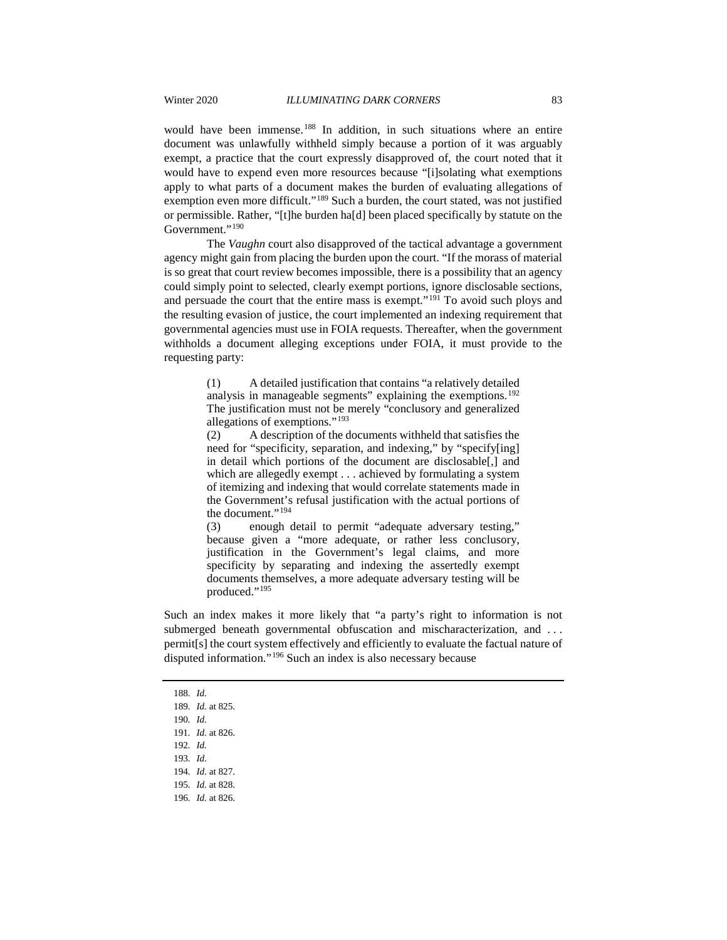would have been immense.<sup>[188](#page-25-0)</sup> In addition, in such situations where an entire document was unlawfully withheld simply because a portion of it was arguably exempt, a practice that the court expressly disapproved of, the court noted that it would have to expend even more resources because "[i]solating what exemptions apply to what parts of a document makes the burden of evaluating allegations of exemption even more difficult."[189](#page-25-1) Such a burden, the court stated, was not justified or permissible. Rather, "[t]he burden ha[d] been placed specifically by statute on the Government."<sup>[190](#page-25-2)</sup>

The *Vaughn* court also disapproved of the tactical advantage a government agency might gain from placing the burden upon the court. "If the morass of material is so great that court review becomes impossible, there is a possibility that an agency could simply point to selected, clearly exempt portions, ignore disclosable sections, and persuade the court that the entire mass is exempt."[191](#page-25-3) To avoid such ploys and the resulting evasion of justice, the court implemented an indexing requirement that governmental agencies must use in FOIA requests. Thereafter, when the government withholds a document alleging exceptions under FOIA, it must provide to the requesting party:

> (1) A detailed justification that contains "a relatively detailed analysis in manageable segments" explaining the exemptions.<sup>[192](#page-25-4)</sup> The justification must not be merely "conclusory and generalized allegations of exemptions."[193](#page-25-5)

> (2) A description of the documents withheld that satisfies the need for "specificity, separation, and indexing," by "specify[ing] in detail which portions of the document are disclosable[,] and which are allegedly exempt . . . achieved by formulating a system of itemizing and indexing that would correlate statements made in the Government's refusal justification with the actual portions of the document."[194](#page-25-6)

> (3) enough detail to permit "adequate adversary testing," because given a "more adequate, or rather less conclusory, justification in the Government's legal claims, and more specificity by separating and indexing the assertedly exempt documents themselves, a more adequate adversary testing will be produced."<sup>[195](#page-25-7)</sup>

Such an index makes it more likely that "a party's right to information is not submerged beneath governmental obfuscation and mischaracterization, and ... permit[s] the court system effectively and efficiently to evaluate the factual nature of disputed information."[196](#page-25-8) Such an index is also necessary because

<span id="page-25-0"></span><sup>188</sup>*. Id.*

<span id="page-25-1"></span><sup>189</sup>*. Id.* at 825.

<span id="page-25-2"></span><sup>190</sup>*. Id.*

<span id="page-25-3"></span><sup>191</sup>*. Id.* at 826.

<span id="page-25-4"></span><sup>192</sup>*. Id.*

<span id="page-25-5"></span><sup>193</sup>*. Id.*

<span id="page-25-6"></span><sup>194</sup>*. Id.* at 827.

<span id="page-25-7"></span><sup>195</sup>*. Id.* at 828.

<span id="page-25-8"></span><sup>196</sup>*. Id.* at 826.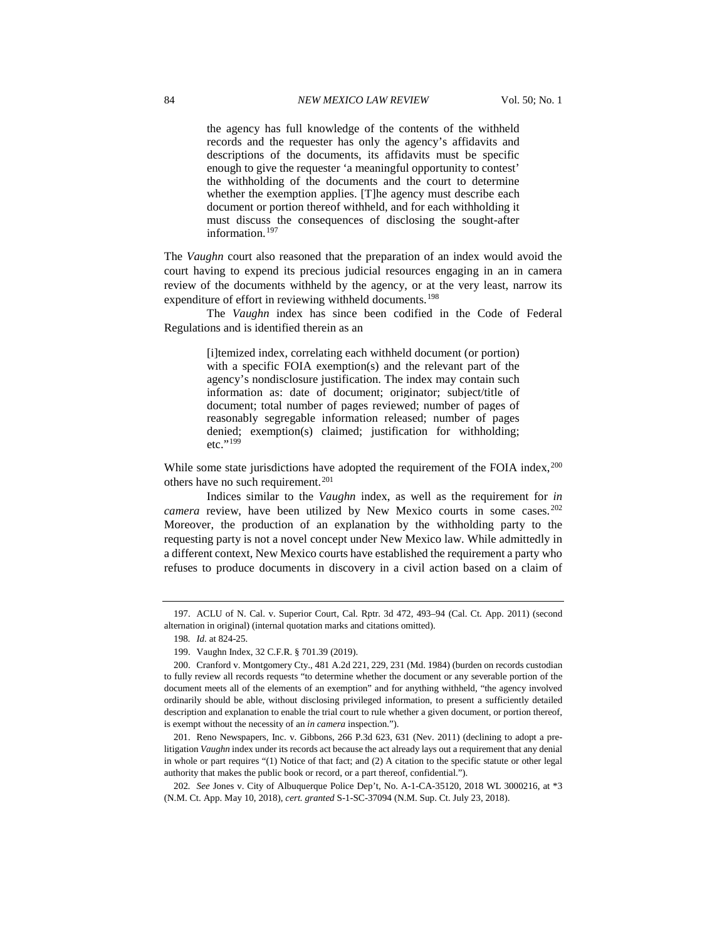the agency has full knowledge of the contents of the withheld records and the requester has only the agency's affidavits and descriptions of the documents, its affidavits must be specific enough to give the requester 'a meaningful opportunity to contest' the withholding of the documents and the court to determine whether the exemption applies. [T]he agency must describe each document or portion thereof withheld, and for each withholding it must discuss the consequences of disclosing the sought-after information.[197](#page-26-0)

The *Vaughn* court also reasoned that the preparation of an index would avoid the court having to expend its precious judicial resources engaging in an in camera review of the documents withheld by the agency, or at the very least, narrow its expenditure of effort in reviewing withheld documents.<sup>[198](#page-26-1)</sup>

The *Vaughn* index has since been codified in the Code of Federal Regulations and is identified therein as an

> [i]temized index, correlating each withheld document (or portion) with a specific FOIA exemption(s) and the relevant part of the agency's nondisclosure justification. The index may contain such information as: date of document; originator; subject/title of document; total number of pages reviewed; number of pages of reasonably segregable information released; number of pages denied; exemption(s) claimed; justification for withholding; etc."<sup>[199](#page-26-2)</sup>

While some state jurisdictions have adopted the requirement of the FOIA index,<sup>[200](#page-26-3)</sup> others have no such requirement.<sup>[201](#page-26-4)</sup>

Indices similar to the *Vaughn* index, as well as the requirement for *in camera* review, have been utilized by New Mexico courts in some cases.<sup>[202](#page-26-5)</sup> Moreover, the production of an explanation by the withholding party to the requesting party is not a novel concept under New Mexico law. While admittedly in a different context, New Mexico courts have established the requirement a party who refuses to produce documents in discovery in a civil action based on a claim of

<span id="page-26-1"></span><span id="page-26-0"></span><sup>197.</sup> ACLU of N. Cal. v. Superior Court, Cal. Rptr. 3d 472, 493–94 (Cal. Ct. App. 2011) (second alternation in original) (internal quotation marks and citations omitted).

<sup>198</sup>*. Id.* at 824-25.

<sup>199.</sup> Vaughn Index, 32 C.F.R. § 701.39 (2019).

<span id="page-26-3"></span><span id="page-26-2"></span><sup>200.</sup> Cranford v. Montgomery Cty., 481 A.2d 221, 229, 231 (Md. 1984) (burden on records custodian to fully review all records requests "to determine whether the document or any severable portion of the document meets all of the elements of an exemption" and for anything withheld, "the agency involved ordinarily should be able, without disclosing privileged information, to present a sufficiently detailed description and explanation to enable the trial court to rule whether a given document, or portion thereof, is exempt without the necessity of an *in camera* inspection.").

<span id="page-26-4"></span><sup>201.</sup> Reno Newspapers, Inc. v. Gibbons, 266 P.3d 623, 631 (Nev. 2011) (declining to adopt a prelitigation *Vaughn* index under its records act because the act already lays out a requirement that any denial in whole or part requires "(1) Notice of that fact; and (2) A citation to the specific statute or other legal authority that makes the public book or record, or a part thereof, confidential.").

<span id="page-26-5"></span><sup>202</sup>*. See* Jones v. City of Albuquerque Police Dep't, No. A-1-CA-35120, 2018 WL 3000216, at \*3 (N.M. Ct. App. May 10, 2018), *cert. granted* S-1-SC-37094 (N.M. Sup. Ct. July 23, 2018).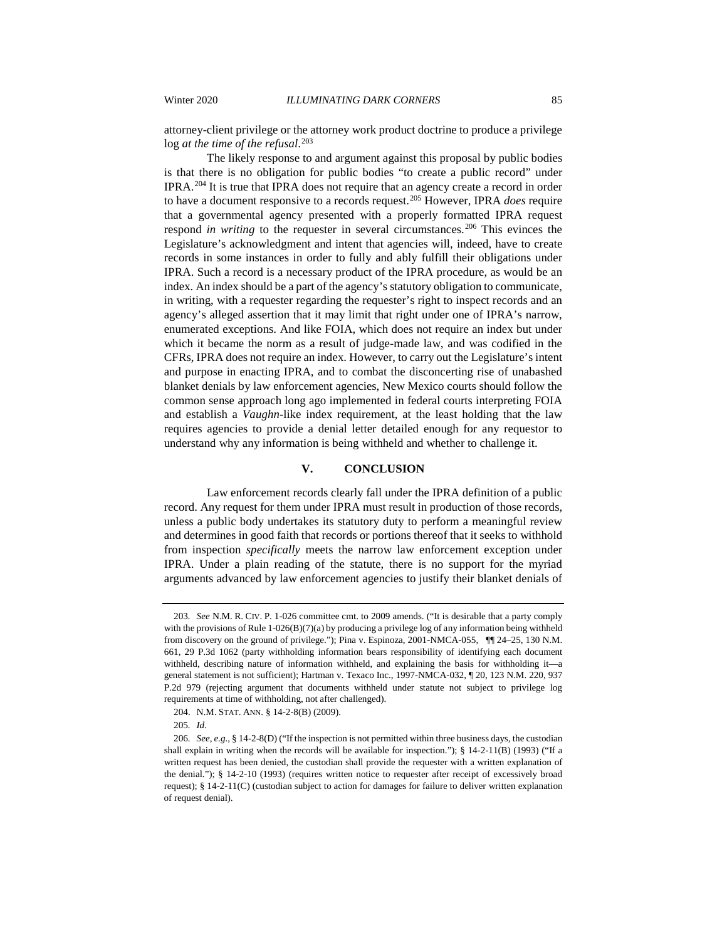attorney-client privilege or the attorney work product doctrine to produce a privilege log *at the time of the refusal*. [203](#page-27-0)

The likely response to and argument against this proposal by public bodies is that there is no obligation for public bodies "to create a public record" under IPRA.[204](#page-27-1) It is true that IPRA does not require that an agency create a record in order to have a document responsive to a records request.[205](#page-27-2) However, IPRA *does* require that a governmental agency presented with a properly formatted IPRA request respond *in writing* to the requester in several circumstances.<sup>[206](#page-27-3)</sup> This evinces the Legislature's acknowledgment and intent that agencies will, indeed, have to create records in some instances in order to fully and ably fulfill their obligations under IPRA. Such a record is a necessary product of the IPRA procedure, as would be an index. An index should be a part of the agency's statutory obligation to communicate, in writing, with a requester regarding the requester's right to inspect records and an agency's alleged assertion that it may limit that right under one of IPRA's narrow, enumerated exceptions. And like FOIA, which does not require an index but under which it became the norm as a result of judge-made law, and was codified in the CFRs, IPRA does not require an index. However, to carry out the Legislature's intent and purpose in enacting IPRA, and to combat the disconcerting rise of unabashed blanket denials by law enforcement agencies, New Mexico courts should follow the common sense approach long ago implemented in federal courts interpreting FOIA and establish a *Vaughn*-like index requirement, at the least holding that the law requires agencies to provide a denial letter detailed enough for any requestor to understand why any information is being withheld and whether to challenge it.

# **V. CONCLUSION**

Law enforcement records clearly fall under the IPRA definition of a public record. Any request for them under IPRA must result in production of those records, unless a public body undertakes its statutory duty to perform a meaningful review and determines in good faith that records or portions thereof that it seeks to withhold from inspection *specifically* meets the narrow law enforcement exception under IPRA. Under a plain reading of the statute, there is no support for the myriad arguments advanced by law enforcement agencies to justify their blanket denials of

<span id="page-27-0"></span><sup>203</sup>*. See* N.M. R. CIV. P. 1-026 committee cmt. to 2009 amends. ("It is desirable that a party comply with the provisions of Rule 1-026(B)(7)(a) by producing a privilege log of any information being withheld from discovery on the ground of privilege."); Pina v. Espinoza, 2001-NMCA-055, ¶[124–25, 130 N.M. 661, 29 P.3d 1062 (party withholding information bears responsibility of identifying each document withheld, describing nature of information withheld, and explaining the basis for withholding it—a general statement is not sufficient); Hartman v. Texaco Inc., 1997-NMCA-032, ¶ 20, 123 N.M. 220, 937 P.2d 979 (rejecting argument that documents withheld under statute not subject to privilege log requirements at time of withholding, not after challenged).

<sup>204.</sup> N.M. STAT. ANN. § 14-2-8(B) (2009).

<sup>205</sup>*. Id.*

<span id="page-27-3"></span><span id="page-27-2"></span><span id="page-27-1"></span><sup>206</sup>*. See, e.g.*, § 14-2-8(D) ("If the inspection is not permitted within three business days, the custodian shall explain in writing when the records will be available for inspection.");  $\S$  14-2-11(B) (1993) ("If a written request has been denied, the custodian shall provide the requester with a written explanation of the denial."); § 14-2-10 (1993) (requires written notice to requester after receipt of excessively broad request); § 14-2-11(C) (custodian subject to action for damages for failure to deliver written explanation of request denial).